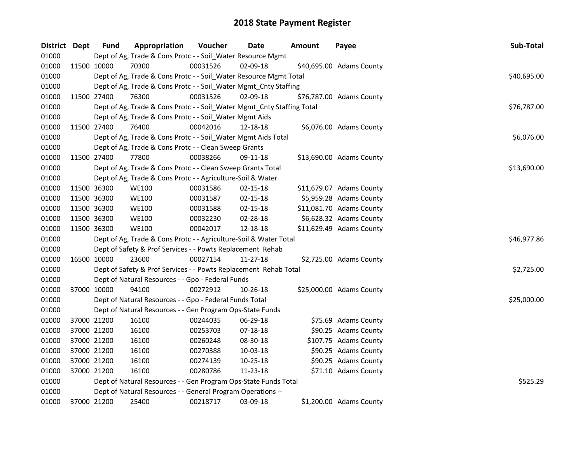| District Dept | <b>Fund</b> | Appropriation                                                          | Voucher  | Date           | Amount | Payee                    | Sub-Total   |
|---------------|-------------|------------------------------------------------------------------------|----------|----------------|--------|--------------------------|-------------|
| 01000         |             | Dept of Ag, Trade & Cons Protc - - Soil_Water Resource Mgmt            |          |                |        |                          |             |
| 01000         | 11500 10000 | 70300                                                                  | 00031526 | 02-09-18       |        | \$40,695.00 Adams County |             |
| 01000         |             | Dept of Ag, Trade & Cons Protc - - Soil_Water Resource Mgmt Total      |          |                |        |                          | \$40,695.00 |
| 01000         |             | Dept of Ag, Trade & Cons Protc - - Soil_Water Mgmt_Cnty Staffing       |          |                |        |                          |             |
| 01000         | 11500 27400 | 76300                                                                  | 00031526 | 02-09-18       |        | \$76,787.00 Adams County |             |
| 01000         |             | Dept of Ag, Trade & Cons Protc - - Soil_Water Mgmt_Cnty Staffing Total |          |                |        |                          | \$76,787.00 |
| 01000         |             | Dept of Ag, Trade & Cons Protc - - Soil_Water Mgmt Aids                |          |                |        |                          |             |
| 01000         | 11500 27400 | 76400                                                                  | 00042016 | 12-18-18       |        | \$6,076.00 Adams County  |             |
| 01000         |             | Dept of Ag, Trade & Cons Protc - - Soil_Water Mgmt Aids Total          |          |                |        |                          | \$6,076.00  |
| 01000         |             | Dept of Ag, Trade & Cons Protc - - Clean Sweep Grants                  |          |                |        |                          |             |
| 01000         | 11500 27400 | 77800                                                                  | 00038266 | 09-11-18       |        | \$13,690.00 Adams County |             |
| 01000         |             | Dept of Ag, Trade & Cons Protc - - Clean Sweep Grants Total            |          |                |        |                          | \$13,690.00 |
| 01000         |             | Dept of Ag, Trade & Cons Protc - - Agriculture-Soil & Water            |          |                |        |                          |             |
| 01000         | 11500 36300 | <b>WE100</b>                                                           | 00031586 | 02-15-18       |        | \$11,679.07 Adams County |             |
| 01000         | 11500 36300 | <b>WE100</b>                                                           | 00031587 | 02-15-18       |        | \$5,959.28 Adams County  |             |
| 01000         | 11500 36300 | <b>WE100</b>                                                           | 00031588 | 02-15-18       |        | \$11,081.70 Adams County |             |
| 01000         | 11500 36300 | <b>WE100</b>                                                           | 00032230 | 02-28-18       |        | \$6,628.32 Adams County  |             |
| 01000         | 11500 36300 | <b>WE100</b>                                                           | 00042017 | 12-18-18       |        | \$11,629.49 Adams County |             |
| 01000         |             | Dept of Ag, Trade & Cons Protc - - Agriculture-Soil & Water Total      |          |                |        |                          | \$46,977.86 |
| 01000         |             | Dept of Safety & Prof Services - - Powts Replacement Rehab             |          |                |        |                          |             |
| 01000         | 16500 10000 | 23600                                                                  | 00027154 | $11 - 27 - 18$ |        | \$2,725.00 Adams County  |             |
| 01000         |             | Dept of Safety & Prof Services - - Powts Replacement Rehab Total       |          |                |        |                          | \$2,725.00  |
| 01000         |             | Dept of Natural Resources - - Gpo - Federal Funds                      |          |                |        |                          |             |
| 01000         | 37000 10000 | 94100                                                                  | 00272912 | 10-26-18       |        | \$25,000.00 Adams County |             |
| 01000         |             | Dept of Natural Resources - - Gpo - Federal Funds Total                |          |                |        |                          | \$25,000.00 |
| 01000         |             | Dept of Natural Resources - - Gen Program Ops-State Funds              |          |                |        |                          |             |
| 01000         | 37000 21200 | 16100                                                                  | 00244035 | 06-29-18       |        | \$75.69 Adams County     |             |
| 01000         | 37000 21200 | 16100                                                                  | 00253703 | $07 - 18 - 18$ |        | \$90.25 Adams County     |             |
| 01000         | 37000 21200 | 16100                                                                  | 00260248 | 08-30-18       |        | \$107.75 Adams County    |             |
| 01000         | 37000 21200 | 16100                                                                  | 00270388 | 10-03-18       |        | \$90.25 Adams County     |             |
| 01000         | 37000 21200 | 16100                                                                  | 00274139 | 10-25-18       |        | \$90.25 Adams County     |             |
| 01000         | 37000 21200 | 16100                                                                  | 00280786 | 11-23-18       |        | \$71.10 Adams County     |             |
| 01000         |             | Dept of Natural Resources - - Gen Program Ops-State Funds Total        |          |                |        |                          | \$525.29    |
| 01000         |             | Dept of Natural Resources - - General Program Operations --            |          |                |        |                          |             |
| 01000         | 37000 21200 | 25400                                                                  | 00218717 | 03-09-18       |        | \$1,200.00 Adams County  |             |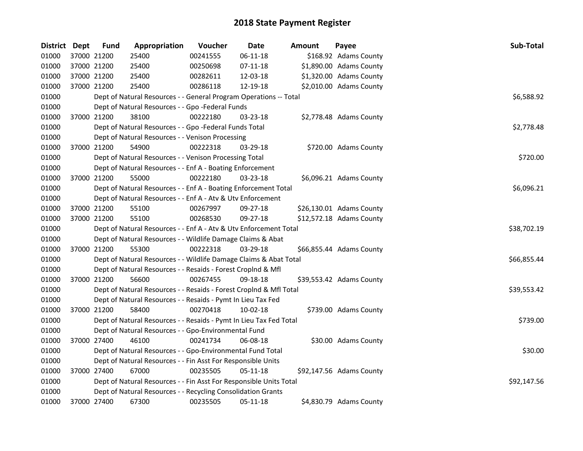| <b>District Dept</b> | <b>Fund</b> | Appropriation                                                      | Voucher  | Date           | Amount | Payee                    | Sub-Total   |
|----------------------|-------------|--------------------------------------------------------------------|----------|----------------|--------|--------------------------|-------------|
| 01000                | 37000 21200 | 25400                                                              | 00241555 | $06 - 11 - 18$ |        | \$168.92 Adams County    |             |
| 01000                | 37000 21200 | 25400                                                              | 00250698 | $07-11-18$     |        | \$1,890.00 Adams County  |             |
| 01000                | 37000 21200 | 25400                                                              | 00282611 | 12-03-18       |        | \$1,320.00 Adams County  |             |
| 01000                | 37000 21200 | 25400                                                              | 00286118 | 12-19-18       |        | \$2,010.00 Adams County  |             |
| 01000                |             | Dept of Natural Resources - - General Program Operations -- Total  |          |                |        |                          | \$6,588.92  |
| 01000                |             | Dept of Natural Resources - - Gpo -Federal Funds                   |          |                |        |                          |             |
| 01000                | 37000 21200 | 38100                                                              | 00222180 | 03-23-18       |        | \$2,778.48 Adams County  |             |
| 01000                |             | Dept of Natural Resources - - Gpo -Federal Funds Total             |          |                |        |                          | \$2,778.48  |
| 01000                |             | Dept of Natural Resources - - Venison Processing                   |          |                |        |                          |             |
| 01000                | 37000 21200 | 54900                                                              | 00222318 | 03-29-18       |        | \$720.00 Adams County    |             |
| 01000                |             | Dept of Natural Resources - - Venison Processing Total             |          |                |        |                          | \$720.00    |
| 01000                |             | Dept of Natural Resources - - Enf A - Boating Enforcement          |          |                |        |                          |             |
| 01000                | 37000 21200 | 55000                                                              | 00222180 | 03-23-18       |        | \$6,096.21 Adams County  |             |
| 01000                |             | Dept of Natural Resources - - Enf A - Boating Enforcement Total    |          |                |        |                          | \$6,096.21  |
| 01000                |             | Dept of Natural Resources - - Enf A - Atv & Utv Enforcement        |          |                |        |                          |             |
| 01000                | 37000 21200 | 55100                                                              | 00267997 | $09 - 27 - 18$ |        | \$26,130.01 Adams County |             |
| 01000                | 37000 21200 | 55100                                                              | 00268530 | $09 - 27 - 18$ |        | \$12,572.18 Adams County |             |
| 01000                |             | Dept of Natural Resources - - Enf A - Atv & Utv Enforcement Total  |          |                |        |                          | \$38,702.19 |
| 01000                |             | Dept of Natural Resources - - Wildlife Damage Claims & Abat        |          |                |        |                          |             |
| 01000                | 37000 21200 | 55300                                                              | 00222318 | 03-29-18       |        | \$66,855.44 Adams County |             |
| 01000                |             | Dept of Natural Resources - - Wildlife Damage Claims & Abat Total  |          |                |        |                          | \$66,855.44 |
| 01000                |             | Dept of Natural Resources - - Resaids - Forest Croplnd & Mfl       |          |                |        |                          |             |
| 01000                | 37000 21200 | 56600                                                              | 00267455 | 09-18-18       |        | \$39,553.42 Adams County |             |
| 01000                |             | Dept of Natural Resources - - Resaids - Forest CropInd & Mfl Total |          |                |        |                          | \$39,553.42 |
| 01000                |             | Dept of Natural Resources - - Resaids - Pymt In Lieu Tax Fed       |          |                |        |                          |             |
| 01000                | 37000 21200 | 58400                                                              | 00270418 | 10-02-18       |        | \$739.00 Adams County    |             |
| 01000                |             | Dept of Natural Resources - - Resaids - Pymt In Lieu Tax Fed Total |          |                |        |                          | \$739.00    |
| 01000                |             | Dept of Natural Resources - - Gpo-Environmental Fund               |          |                |        |                          |             |
| 01000                | 37000 27400 | 46100                                                              | 00241734 | 06-08-18       |        | \$30.00 Adams County     |             |
| 01000                |             | Dept of Natural Resources - - Gpo-Environmental Fund Total         |          |                |        |                          | \$30.00     |
| 01000                |             | Dept of Natural Resources - - Fin Asst For Responsible Units       |          |                |        |                          |             |
| 01000                | 37000 27400 | 67000                                                              | 00235505 | 05-11-18       |        | \$92,147.56 Adams County |             |
| 01000                |             | Dept of Natural Resources - - Fin Asst For Responsible Units Total |          |                |        |                          | \$92,147.56 |
| 01000                |             | Dept of Natural Resources - - Recycling Consolidation Grants       |          |                |        |                          |             |
| 01000                | 37000 27400 | 67300                                                              | 00235505 | 05-11-18       |        | \$4,830.79 Adams County  |             |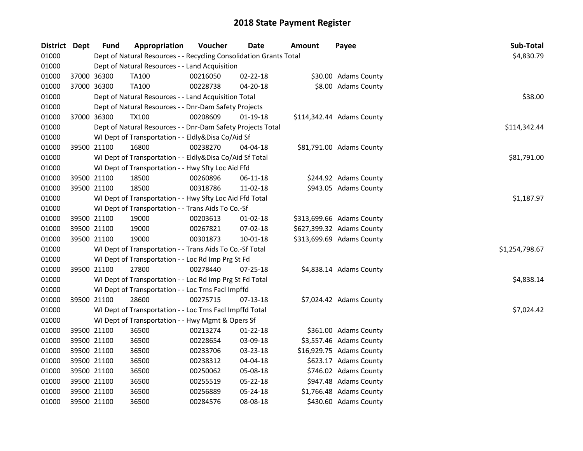| District Dept |             | <b>Fund</b> | Appropriation                                                      | Voucher  | Date           | Amount | Payee                     | Sub-Total      |
|---------------|-------------|-------------|--------------------------------------------------------------------|----------|----------------|--------|---------------------------|----------------|
| 01000         |             |             | Dept of Natural Resources - - Recycling Consolidation Grants Total |          |                |        |                           | \$4,830.79     |
| 01000         |             |             | Dept of Natural Resources - - Land Acquisition                     |          |                |        |                           |                |
| 01000         |             | 37000 36300 | <b>TA100</b>                                                       | 00216050 | 02-22-18       |        | \$30.00 Adams County      |                |
| 01000         |             | 37000 36300 | <b>TA100</b>                                                       | 00228738 | 04-20-18       |        | \$8.00 Adams County       |                |
| 01000         |             |             | Dept of Natural Resources - - Land Acquisition Total               |          |                |        |                           | \$38.00        |
| 01000         |             |             | Dept of Natural Resources - - Dnr-Dam Safety Projects              |          |                |        |                           |                |
| 01000         |             | 37000 36300 | <b>TX100</b>                                                       | 00208609 | $01-19-18$     |        | \$114,342.44 Adams County |                |
| 01000         |             |             | Dept of Natural Resources - - Dnr-Dam Safety Projects Total        |          |                |        |                           | \$114,342.44   |
| 01000         |             |             | WI Dept of Transportation - - Eldly&Disa Co/Aid Sf                 |          |                |        |                           |                |
| 01000         |             | 39500 21100 | 16800                                                              | 00238270 | 04-04-18       |        | \$81,791.00 Adams County  |                |
| 01000         |             |             | WI Dept of Transportation - - Eldly&Disa Co/Aid Sf Total           |          |                |        |                           | \$81,791.00    |
| 01000         |             |             | WI Dept of Transportation - - Hwy Sfty Loc Aid Ffd                 |          |                |        |                           |                |
| 01000         |             | 39500 21100 | 18500                                                              | 00260896 | $06 - 11 - 18$ |        | \$244.92 Adams County     |                |
| 01000         |             | 39500 21100 | 18500                                                              | 00318786 | 11-02-18       |        | \$943.05 Adams County     |                |
| 01000         |             |             | WI Dept of Transportation - - Hwy Sfty Loc Aid Ffd Total           |          |                |        |                           | \$1,187.97     |
| 01000         |             |             | WI Dept of Transportation - - Trans Aids To Co.-Sf                 |          |                |        |                           |                |
| 01000         |             | 39500 21100 | 19000                                                              | 00203613 | 01-02-18       |        | \$313,699.66 Adams County |                |
| 01000         |             | 39500 21100 | 19000                                                              | 00267821 | 07-02-18       |        | \$627,399.32 Adams County |                |
| 01000         |             | 39500 21100 | 19000                                                              | 00301873 | $10 - 01 - 18$ |        | \$313,699.69 Adams County |                |
| 01000         |             |             | WI Dept of Transportation - - Trans Aids To Co.-Sf Total           |          |                |        |                           | \$1,254,798.67 |
| 01000         |             |             | WI Dept of Transportation - - Loc Rd Imp Prg St Fd                 |          |                |        |                           |                |
| 01000         |             | 39500 21100 | 27800                                                              | 00278440 | $07 - 25 - 18$ |        | \$4,838.14 Adams County   |                |
| 01000         |             |             | WI Dept of Transportation - - Loc Rd Imp Prg St Fd Total           |          |                |        |                           | \$4,838.14     |
| 01000         |             |             | WI Dept of Transportation - - Loc Trns Facl Impffd                 |          |                |        |                           |                |
| 01000         |             | 39500 21100 | 28600                                                              | 00275715 | 07-13-18       |        | \$7,024.42 Adams County   |                |
| 01000         |             |             | WI Dept of Transportation - - Loc Trns Facl Impffd Total           |          |                |        |                           | \$7,024.42     |
| 01000         |             |             | WI Dept of Transportation - - Hwy Mgmt & Opers Sf                  |          |                |        |                           |                |
| 01000         |             | 39500 21100 | 36500                                                              | 00213274 | $01 - 22 - 18$ |        | \$361.00 Adams County     |                |
| 01000         |             | 39500 21100 | 36500                                                              | 00228654 | 03-09-18       |        | \$3,557.46 Adams County   |                |
| 01000         |             | 39500 21100 | 36500                                                              | 00233706 | 03-23-18       |        | \$16,929.75 Adams County  |                |
| 01000         | 39500 21100 |             | 36500                                                              | 00238312 | 04-04-18       |        | \$623.17 Adams County     |                |
| 01000         |             | 39500 21100 | 36500                                                              | 00250062 | 05-08-18       |        | \$746.02 Adams County     |                |
| 01000         |             | 39500 21100 | 36500                                                              | 00255519 | 05-22-18       |        | \$947.48 Adams County     |                |
| 01000         |             | 39500 21100 | 36500                                                              | 00256889 | 05-24-18       |        | \$1,766.48 Adams County   |                |
| 01000         |             | 39500 21100 | 36500                                                              | 00284576 | 08-08-18       |        | \$430.60 Adams County     |                |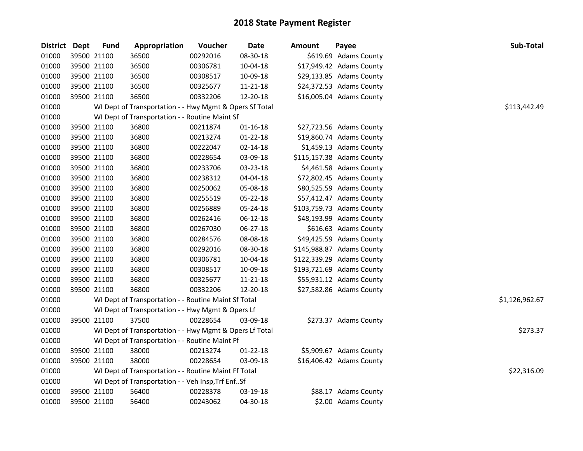| <b>District Dept</b> |             | <b>Fund</b> | Appropriation                                           | Voucher  | Date           | Amount | Payee                     | Sub-Total      |
|----------------------|-------------|-------------|---------------------------------------------------------|----------|----------------|--------|---------------------------|----------------|
| 01000                |             | 39500 21100 | 36500                                                   | 00292016 | 08-30-18       |        | \$619.69 Adams County     |                |
| 01000                |             | 39500 21100 | 36500                                                   | 00306781 | 10-04-18       |        | \$17,949.42 Adams County  |                |
| 01000                |             | 39500 21100 | 36500                                                   | 00308517 | 10-09-18       |        | \$29,133.85 Adams County  |                |
| 01000                |             | 39500 21100 | 36500                                                   | 00325677 | 11-21-18       |        | \$24,372.53 Adams County  |                |
| 01000                |             | 39500 21100 | 36500                                                   | 00332206 | 12-20-18       |        | \$16,005.04 Adams County  |                |
| 01000                |             |             | WI Dept of Transportation - - Hwy Mgmt & Opers Sf Total |          |                |        |                           | \$113,442.49   |
| 01000                |             |             | WI Dept of Transportation - - Routine Maint Sf          |          |                |        |                           |                |
| 01000                |             | 39500 21100 | 36800                                                   | 00211874 | $01 - 16 - 18$ |        | \$27,723.56 Adams County  |                |
| 01000                | 39500 21100 |             | 36800                                                   | 00213274 | 01-22-18       |        | \$19,860.74 Adams County  |                |
| 01000                | 39500 21100 |             | 36800                                                   | 00222047 | 02-14-18       |        | \$1,459.13 Adams County   |                |
| 01000                | 39500 21100 |             | 36800                                                   | 00228654 | 03-09-18       |        | \$115,157.38 Adams County |                |
| 01000                |             | 39500 21100 | 36800                                                   | 00233706 | 03-23-18       |        | \$4,461.58 Adams County   |                |
| 01000                |             | 39500 21100 | 36800                                                   | 00238312 | 04-04-18       |        | \$72,802.45 Adams County  |                |
| 01000                |             | 39500 21100 | 36800                                                   | 00250062 | 05-08-18       |        | \$80,525.59 Adams County  |                |
| 01000                |             | 39500 21100 | 36800                                                   | 00255519 | 05-22-18       |        | \$57,412.47 Adams County  |                |
| 01000                |             | 39500 21100 | 36800                                                   | 00256889 | 05-24-18       |        | \$103,759.73 Adams County |                |
| 01000                |             | 39500 21100 | 36800                                                   | 00262416 | 06-12-18       |        | \$48,193.99 Adams County  |                |
| 01000                |             | 39500 21100 | 36800                                                   | 00267030 | 06-27-18       |        | \$616.63 Adams County     |                |
| 01000                |             | 39500 21100 | 36800                                                   | 00284576 | 08-08-18       |        | \$49,425.59 Adams County  |                |
| 01000                |             | 39500 21100 | 36800                                                   | 00292016 | 08-30-18       |        | \$145,988.87 Adams County |                |
| 01000                | 39500 21100 |             | 36800                                                   | 00306781 | 10-04-18       |        | \$122,339.29 Adams County |                |
| 01000                |             | 39500 21100 | 36800                                                   | 00308517 | 10-09-18       |        | \$193,721.69 Adams County |                |
| 01000                | 39500 21100 |             | 36800                                                   | 00325677 | $11 - 21 - 18$ |        | \$55,931.12 Adams County  |                |
| 01000                |             | 39500 21100 | 36800                                                   | 00332206 | 12-20-18       |        | \$27,582.86 Adams County  |                |
| 01000                |             |             | WI Dept of Transportation - - Routine Maint Sf Total    |          |                |        |                           | \$1,126,962.67 |
| 01000                |             |             | WI Dept of Transportation - - Hwy Mgmt & Opers Lf       |          |                |        |                           |                |
| 01000                |             | 39500 21100 | 37500                                                   | 00228654 | 03-09-18       |        | \$273.37 Adams County     |                |
| 01000                |             |             | WI Dept of Transportation - - Hwy Mgmt & Opers Lf Total |          |                |        |                           | \$273.37       |
| 01000                |             |             | WI Dept of Transportation - - Routine Maint Ff          |          |                |        |                           |                |
| 01000                |             | 39500 21100 | 38000                                                   | 00213274 | $01 - 22 - 18$ |        | \$5,909.67 Adams County   |                |
| 01000                |             | 39500 21100 | 38000                                                   | 00228654 | 03-09-18       |        | \$16,406.42 Adams County  |                |
| 01000                |             |             | WI Dept of Transportation - - Routine Maint Ff Total    |          |                |        |                           | \$22,316.09    |
| 01000                |             |             | WI Dept of Transportation - - Veh Insp, Trf EnfSf       |          |                |        |                           |                |
| 01000                |             | 39500 21100 | 56400                                                   | 00228378 | 03-19-18       |        | \$88.17 Adams County      |                |
| 01000                |             | 39500 21100 | 56400                                                   | 00243062 | 04-30-18       |        | \$2.00 Adams County       |                |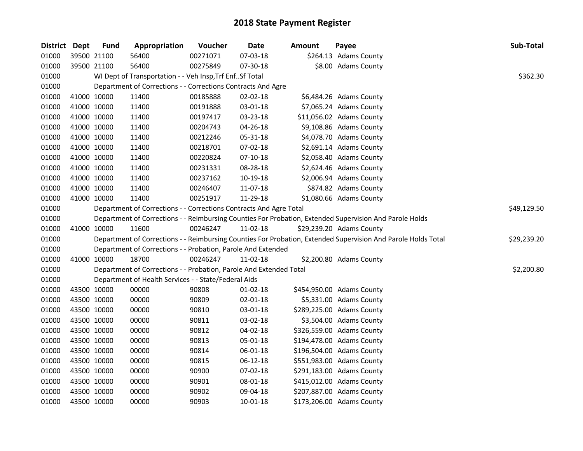| District Dept |             | <b>Fund</b> | Appropriation                                                      | Voucher  | Date           | <b>Amount</b> | Payee                                                                                                         | Sub-Total   |
|---------------|-------------|-------------|--------------------------------------------------------------------|----------|----------------|---------------|---------------------------------------------------------------------------------------------------------------|-------------|
| 01000         | 39500 21100 |             | 56400                                                              | 00271071 | 07-03-18       |               | \$264.13 Adams County                                                                                         |             |
| 01000         |             | 39500 21100 | 56400                                                              | 00275849 | 07-30-18       |               | \$8.00 Adams County                                                                                           |             |
| 01000         |             |             | WI Dept of Transportation - - Veh Insp, Trf EnfSf Total            |          |                |               |                                                                                                               | \$362.30    |
| 01000         |             |             | Department of Corrections - - Corrections Contracts And Agre       |          |                |               |                                                                                                               |             |
| 01000         |             | 41000 10000 | 11400                                                              | 00185888 | $02 - 02 - 18$ |               | \$6,484.26 Adams County                                                                                       |             |
| 01000         | 41000 10000 |             | 11400                                                              | 00191888 | 03-01-18       |               | \$7,065.24 Adams County                                                                                       |             |
| 01000         | 41000 10000 |             | 11400                                                              | 00197417 | 03-23-18       |               | \$11,056.02 Adams County                                                                                      |             |
| 01000         | 41000 10000 |             | 11400                                                              | 00204743 | 04-26-18       |               | \$9,108.86 Adams County                                                                                       |             |
| 01000         | 41000 10000 |             | 11400                                                              | 00212246 | 05-31-18       |               | \$4,078.70 Adams County                                                                                       |             |
| 01000         | 41000 10000 |             | 11400                                                              | 00218701 | 07-02-18       |               | \$2,691.14 Adams County                                                                                       |             |
| 01000         | 41000 10000 |             | 11400                                                              | 00220824 | $07-10-18$     |               | \$2,058.40 Adams County                                                                                       |             |
| 01000         | 41000 10000 |             | 11400                                                              | 00231331 | 08-28-18       |               | \$2,624.46 Adams County                                                                                       |             |
| 01000         | 41000 10000 |             | 11400                                                              | 00237162 | 10-19-18       |               | \$2,006.94 Adams County                                                                                       |             |
| 01000         | 41000 10000 |             | 11400                                                              | 00246407 | 11-07-18       |               | \$874.82 Adams County                                                                                         |             |
| 01000         | 41000 10000 |             | 11400                                                              | 00251917 | 11-29-18       |               | \$1,080.66 Adams County                                                                                       |             |
| 01000         |             |             | Department of Corrections - - Corrections Contracts And Agre Total |          |                |               |                                                                                                               | \$49,129.50 |
| 01000         |             |             |                                                                    |          |                |               | Department of Corrections - - Reimbursing Counties For Probation, Extended Supervision And Parole Holds       |             |
| 01000         |             | 41000 10000 | 11600                                                              | 00246247 | 11-02-18       |               | \$29,239.20 Adams County                                                                                      |             |
| 01000         |             |             |                                                                    |          |                |               | Department of Corrections - - Reimbursing Counties For Probation, Extended Supervision And Parole Holds Total | \$29,239.20 |
| 01000         |             |             | Department of Corrections - - Probation, Parole And Extended       |          |                |               |                                                                                                               |             |
| 01000         | 41000 10000 |             | 18700                                                              | 00246247 | 11-02-18       |               | \$2,200.80 Adams County                                                                                       |             |
| 01000         |             |             | Department of Corrections - - Probation, Parole And Extended Total |          |                |               |                                                                                                               | \$2,200.80  |
| 01000         |             |             | Department of Health Services - - State/Federal Aids               |          |                |               |                                                                                                               |             |
| 01000         | 43500 10000 |             | 00000                                                              | 90808    | $01 - 02 - 18$ |               | \$454,950.00 Adams County                                                                                     |             |
| 01000         | 43500 10000 |             | 00000                                                              | 90809    | 02-01-18       |               | \$5,331.00 Adams County                                                                                       |             |
| 01000         | 43500 10000 |             | 00000                                                              | 90810    | 03-01-18       |               | \$289,225.00 Adams County                                                                                     |             |
| 01000         | 43500 10000 |             | 00000                                                              | 90811    | 03-02-18       |               | \$3,504.00 Adams County                                                                                       |             |
| 01000         | 43500 10000 |             | 00000                                                              | 90812    | 04-02-18       |               | \$326,559.00 Adams County                                                                                     |             |
| 01000         | 43500 10000 |             | 00000                                                              | 90813    | 05-01-18       |               | \$194,478.00 Adams County                                                                                     |             |
| 01000         | 43500 10000 |             | 00000                                                              | 90814    | 06-01-18       |               | \$196,504.00 Adams County                                                                                     |             |
| 01000         | 43500 10000 |             | 00000                                                              | 90815    | $06-12-18$     |               | \$551,983.00 Adams County                                                                                     |             |
| 01000         | 43500 10000 |             | 00000                                                              | 90900    | 07-02-18       |               | \$291,183.00 Adams County                                                                                     |             |
| 01000         | 43500 10000 |             | 00000                                                              | 90901    | 08-01-18       |               | \$415,012.00 Adams County                                                                                     |             |
| 01000         | 43500 10000 |             | 00000                                                              | 90902    | 09-04-18       |               | \$207,887.00 Adams County                                                                                     |             |
| 01000         | 43500 10000 |             | 00000                                                              | 90903    | 10-01-18       |               | \$173,206.00 Adams County                                                                                     |             |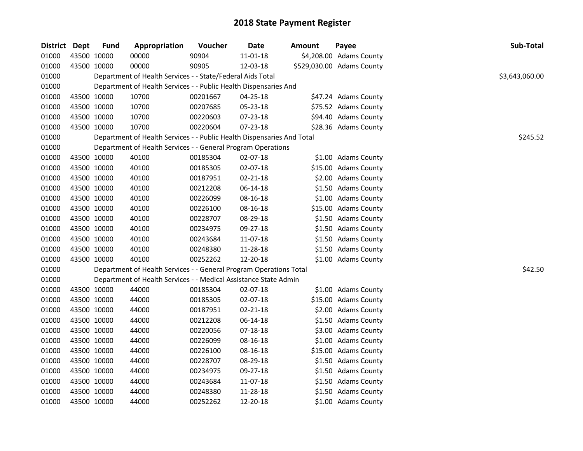| District Dept |             | <b>Fund</b> | Appropriation                                                          | Voucher  | Date           | <b>Amount</b> | Payee                     | Sub-Total      |
|---------------|-------------|-------------|------------------------------------------------------------------------|----------|----------------|---------------|---------------------------|----------------|
| 01000         | 43500 10000 |             | 00000                                                                  | 90904    | $11 - 01 - 18$ |               | \$4,208.00 Adams County   |                |
| 01000         | 43500 10000 |             | 00000                                                                  | 90905    | 12-03-18       |               | \$529,030.00 Adams County |                |
| 01000         |             |             | Department of Health Services - - State/Federal Aids Total             |          |                |               |                           | \$3,643,060.00 |
| 01000         |             |             | Department of Health Services - - Public Health Dispensaries And       |          |                |               |                           |                |
| 01000         | 43500 10000 |             | 10700                                                                  | 00201667 | 04-25-18       |               | \$47.24 Adams County      |                |
| 01000         | 43500 10000 |             | 10700                                                                  | 00207685 | 05-23-18       |               | \$75.52 Adams County      |                |
| 01000         | 43500 10000 |             | 10700                                                                  | 00220603 | 07-23-18       |               | \$94.40 Adams County      |                |
| 01000         | 43500 10000 |             | 10700                                                                  | 00220604 | 07-23-18       |               | \$28.36 Adams County      |                |
| 01000         |             |             | Department of Health Services - - Public Health Dispensaries And Total |          |                |               |                           | \$245.52       |
| 01000         |             |             | Department of Health Services - - General Program Operations           |          |                |               |                           |                |
| 01000         | 43500 10000 |             | 40100                                                                  | 00185304 | 02-07-18       |               | \$1.00 Adams County       |                |
| 01000         | 43500 10000 |             | 40100                                                                  | 00185305 | 02-07-18       |               | \$15.00 Adams County      |                |
| 01000         | 43500 10000 |             | 40100                                                                  | 00187951 | 02-21-18       |               | \$2.00 Adams County       |                |
| 01000         | 43500 10000 |             | 40100                                                                  | 00212208 | 06-14-18       |               | \$1.50 Adams County       |                |
| 01000         | 43500 10000 |             | 40100                                                                  | 00226099 | 08-16-18       |               | \$1.00 Adams County       |                |
| 01000         | 43500 10000 |             | 40100                                                                  | 00226100 | 08-16-18       |               | \$15.00 Adams County      |                |
| 01000         | 43500 10000 |             | 40100                                                                  | 00228707 | 08-29-18       |               | \$1.50 Adams County       |                |
| 01000         | 43500 10000 |             | 40100                                                                  | 00234975 | 09-27-18       |               | \$1.50 Adams County       |                |
| 01000         | 43500 10000 |             | 40100                                                                  | 00243684 | 11-07-18       |               | \$1.50 Adams County       |                |
| 01000         | 43500 10000 |             | 40100                                                                  | 00248380 | 11-28-18       |               | \$1.50 Adams County       |                |
| 01000         | 43500 10000 |             | 40100                                                                  | 00252262 | 12-20-18       |               | \$1.00 Adams County       |                |
| 01000         |             |             | Department of Health Services - - General Program Operations Total     |          |                |               |                           | \$42.50        |
| 01000         |             |             | Department of Health Services - - Medical Assistance State Admin       |          |                |               |                           |                |
| 01000         | 43500 10000 |             | 44000                                                                  | 00185304 | 02-07-18       |               | \$1.00 Adams County       |                |
| 01000         | 43500 10000 |             | 44000                                                                  | 00185305 | 02-07-18       |               | \$15.00 Adams County      |                |
| 01000         | 43500 10000 |             | 44000                                                                  | 00187951 | 02-21-18       |               | \$2.00 Adams County       |                |
| 01000         | 43500 10000 |             | 44000                                                                  | 00212208 | 06-14-18       |               | \$1.50 Adams County       |                |
| 01000         | 43500 10000 |             | 44000                                                                  | 00220056 | $07 - 18 - 18$ |               | \$3.00 Adams County       |                |
| 01000         | 43500 10000 |             | 44000                                                                  | 00226099 | 08-16-18       |               | \$1.00 Adams County       |                |
| 01000         | 43500 10000 |             | 44000                                                                  | 00226100 | 08-16-18       |               | \$15.00 Adams County      |                |
| 01000         | 43500 10000 |             | 44000                                                                  | 00228707 | 08-29-18       |               | \$1.50 Adams County       |                |
| 01000         | 43500 10000 |             | 44000                                                                  | 00234975 | 09-27-18       |               | \$1.50 Adams County       |                |
| 01000         | 43500 10000 |             | 44000                                                                  | 00243684 | 11-07-18       |               | \$1.50 Adams County       |                |
| 01000         | 43500 10000 |             | 44000                                                                  | 00248380 | 11-28-18       |               | \$1.50 Adams County       |                |
| 01000         | 43500 10000 |             | 44000                                                                  | 00252262 | 12-20-18       |               | \$1.00 Adams County       |                |
|               |             |             |                                                                        |          |                |               |                           |                |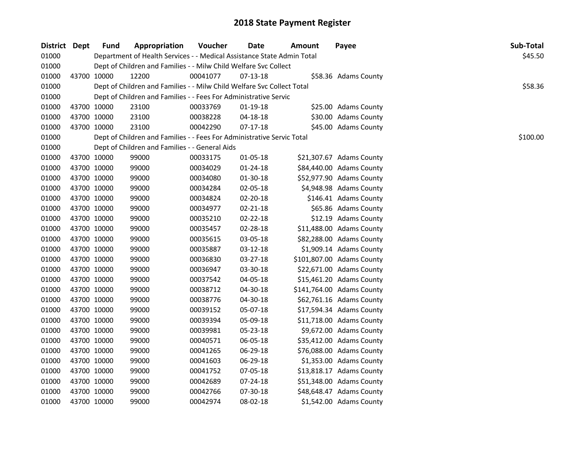| District Dept | <b>Fund</b> | Appropriation                                                          | Voucher  | <b>Date</b>    | Amount | Payee                     | Sub-Total |
|---------------|-------------|------------------------------------------------------------------------|----------|----------------|--------|---------------------------|-----------|
| 01000         |             | Department of Health Services - - Medical Assistance State Admin Total |          |                |        |                           | \$45.50   |
| 01000         |             | Dept of Children and Families - - Milw Child Welfare Svc Collect       |          |                |        |                           |           |
| 01000         | 43700 10000 | 12200                                                                  | 00041077 | 07-13-18       |        | \$58.36 Adams County      |           |
| 01000         |             | Dept of Children and Families - - Milw Child Welfare Svc Collect Total |          |                |        |                           | \$58.36   |
| 01000         |             | Dept of Children and Families - - Fees For Administrative Servic       |          |                |        |                           |           |
| 01000         | 43700 10000 | 23100                                                                  | 00033769 | 01-19-18       |        | \$25.00 Adams County      |           |
| 01000         | 43700 10000 | 23100                                                                  | 00038228 | 04-18-18       |        | \$30.00 Adams County      |           |
| 01000         | 43700 10000 | 23100                                                                  | 00042290 | 07-17-18       |        | \$45.00 Adams County      |           |
| 01000         |             | Dept of Children and Families - - Fees For Administrative Servic Total |          |                |        |                           | \$100.00  |
| 01000         |             | Dept of Children and Families - - General Aids                         |          |                |        |                           |           |
| 01000         | 43700 10000 | 99000                                                                  | 00033175 | 01-05-18       |        | \$21,307.67 Adams County  |           |
| 01000         | 43700 10000 | 99000                                                                  | 00034029 | 01-24-18       |        | \$84,440.00 Adams County  |           |
| 01000         | 43700 10000 | 99000                                                                  | 00034080 | 01-30-18       |        | \$52,977.90 Adams County  |           |
| 01000         | 43700 10000 | 99000                                                                  | 00034284 | 02-05-18       |        | \$4,948.98 Adams County   |           |
| 01000         | 43700 10000 | 99000                                                                  | 00034824 | 02-20-18       |        | \$146.41 Adams County     |           |
| 01000         | 43700 10000 | 99000                                                                  | 00034977 | $02 - 21 - 18$ |        | \$65.86 Adams County      |           |
| 01000         | 43700 10000 | 99000                                                                  | 00035210 | 02-22-18       |        | \$12.19 Adams County      |           |
| 01000         | 43700 10000 | 99000                                                                  | 00035457 | 02-28-18       |        | \$11,488.00 Adams County  |           |
| 01000         | 43700 10000 | 99000                                                                  | 00035615 | 03-05-18       |        | \$82,288.00 Adams County  |           |
| 01000         | 43700 10000 | 99000                                                                  | 00035887 | 03-12-18       |        | \$1,909.14 Adams County   |           |
| 01000         | 43700 10000 | 99000                                                                  | 00036830 | 03-27-18       |        | \$101,807.00 Adams County |           |
| 01000         | 43700 10000 | 99000                                                                  | 00036947 | 03-30-18       |        | \$22,671.00 Adams County  |           |
| 01000         | 43700 10000 | 99000                                                                  | 00037542 | 04-05-18       |        | \$15,461.20 Adams County  |           |
| 01000         | 43700 10000 | 99000                                                                  | 00038712 | 04-30-18       |        | \$141,764.00 Adams County |           |
| 01000         | 43700 10000 | 99000                                                                  | 00038776 | 04-30-18       |        | \$62,761.16 Adams County  |           |
| 01000         | 43700 10000 | 99000                                                                  | 00039152 | 05-07-18       |        | \$17,594.34 Adams County  |           |
| 01000         | 43700 10000 | 99000                                                                  | 00039394 | 05-09-18       |        | \$11,718.00 Adams County  |           |
| 01000         | 43700 10000 | 99000                                                                  | 00039981 | 05-23-18       |        | \$9,672.00 Adams County   |           |
| 01000         | 43700 10000 | 99000                                                                  | 00040571 | 06-05-18       |        | \$35,412.00 Adams County  |           |
| 01000         | 43700 10000 | 99000                                                                  | 00041265 | 06-29-18       |        | \$76,088.00 Adams County  |           |
| 01000         | 43700 10000 | 99000                                                                  | 00041603 | 06-29-18       |        | \$1,353.00 Adams County   |           |
| 01000         | 43700 10000 | 99000                                                                  | 00041752 | 07-05-18       |        | \$13,818.17 Adams County  |           |
| 01000         | 43700 10000 | 99000                                                                  | 00042689 | 07-24-18       |        | \$51,348.00 Adams County  |           |
| 01000         | 43700 10000 | 99000                                                                  | 00042766 | 07-30-18       |        | \$48,648.47 Adams County  |           |
| 01000         | 43700 10000 | 99000                                                                  | 00042974 | 08-02-18       |        | \$1,542.00 Adams County   |           |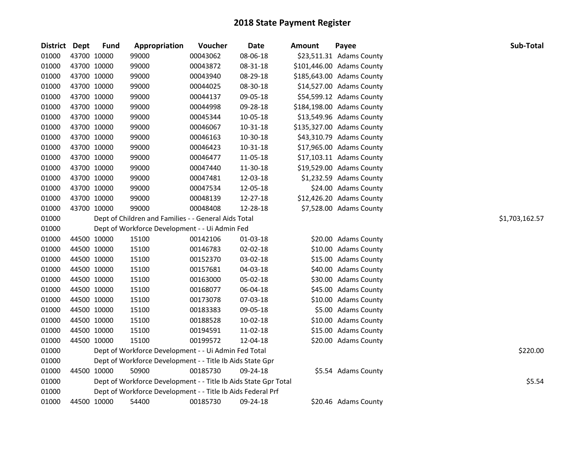| <b>District</b> | <b>Dept</b> | <b>Fund</b> | Appropriation                                                   | Voucher  | Date     | <b>Amount</b> | Payee                     | Sub-Total      |
|-----------------|-------------|-------------|-----------------------------------------------------------------|----------|----------|---------------|---------------------------|----------------|
| 01000           |             | 43700 10000 | 99000                                                           | 00043062 | 08-06-18 |               | \$23,511.31 Adams County  |                |
| 01000           |             | 43700 10000 | 99000                                                           | 00043872 | 08-31-18 |               | \$101,446.00 Adams County |                |
| 01000           |             | 43700 10000 | 99000                                                           | 00043940 | 08-29-18 |               | \$185,643.00 Adams County |                |
| 01000           |             | 43700 10000 | 99000                                                           | 00044025 | 08-30-18 |               | \$14,527.00 Adams County  |                |
| 01000           |             | 43700 10000 | 99000                                                           | 00044137 | 09-05-18 |               | \$54,599.12 Adams County  |                |
| 01000           |             | 43700 10000 | 99000                                                           | 00044998 | 09-28-18 |               | \$184,198.00 Adams County |                |
| 01000           |             | 43700 10000 | 99000                                                           | 00045344 | 10-05-18 |               | \$13,549.96 Adams County  |                |
| 01000           |             | 43700 10000 | 99000                                                           | 00046067 | 10-31-18 |               | \$135,327.00 Adams County |                |
| 01000           |             | 43700 10000 | 99000                                                           | 00046163 | 10-30-18 |               | \$43,310.79 Adams County  |                |
| 01000           |             | 43700 10000 | 99000                                                           | 00046423 | 10-31-18 |               | \$17,965.00 Adams County  |                |
| 01000           |             | 43700 10000 | 99000                                                           | 00046477 | 11-05-18 |               | \$17,103.11 Adams County  |                |
| 01000           |             | 43700 10000 | 99000                                                           | 00047440 | 11-30-18 |               | \$19,529.00 Adams County  |                |
| 01000           |             | 43700 10000 | 99000                                                           | 00047481 | 12-03-18 |               | \$1,232.59 Adams County   |                |
| 01000           |             | 43700 10000 | 99000                                                           | 00047534 | 12-05-18 |               | \$24.00 Adams County      |                |
| 01000           |             | 43700 10000 | 99000                                                           | 00048139 | 12-27-18 |               | \$12,426.20 Adams County  |                |
| 01000           | 43700 10000 |             | 99000                                                           | 00048408 | 12-28-18 |               | \$7,528.00 Adams County   |                |
| 01000           |             |             | Dept of Children and Families - - General Aids Total            |          |          |               |                           | \$1,703,162.57 |
| 01000           |             |             | Dept of Workforce Development - - Ui Admin Fed                  |          |          |               |                           |                |
| 01000           |             | 44500 10000 | 15100                                                           | 00142106 | 01-03-18 |               | \$20.00 Adams County      |                |
| 01000           |             | 44500 10000 | 15100                                                           | 00146783 | 02-02-18 |               | \$10.00 Adams County      |                |
| 01000           |             | 44500 10000 | 15100                                                           | 00152370 | 03-02-18 |               | \$15.00 Adams County      |                |
| 01000           |             | 44500 10000 | 15100                                                           | 00157681 | 04-03-18 |               | \$40.00 Adams County      |                |
| 01000           |             | 44500 10000 | 15100                                                           | 00163000 | 05-02-18 |               | \$30.00 Adams County      |                |
| 01000           |             | 44500 10000 | 15100                                                           | 00168077 | 06-04-18 |               | \$45.00 Adams County      |                |
| 01000           |             | 44500 10000 | 15100                                                           | 00173078 | 07-03-18 |               | \$10.00 Adams County      |                |
| 01000           |             | 44500 10000 | 15100                                                           | 00183383 | 09-05-18 |               | \$5.00 Adams County       |                |
| 01000           |             | 44500 10000 | 15100                                                           | 00188528 | 10-02-18 |               | \$10.00 Adams County      |                |
| 01000           |             | 44500 10000 | 15100                                                           | 00194591 | 11-02-18 |               | \$15.00 Adams County      |                |
| 01000           | 44500 10000 |             | 15100                                                           | 00199572 | 12-04-18 |               | \$20.00 Adams County      |                |
| 01000           |             |             | Dept of Workforce Development - - Ui Admin Fed Total            |          |          |               |                           | \$220.00       |
| 01000           |             |             | Dept of Workforce Development - - Title Ib Aids State Gpr       |          |          |               |                           |                |
| 01000           |             | 44500 10000 | 50900                                                           | 00185730 | 09-24-18 |               | \$5.54 Adams County       |                |
| 01000           |             |             | Dept of Workforce Development - - Title Ib Aids State Gpr Total |          |          |               |                           | \$5.54         |
| 01000           |             |             | Dept of Workforce Development - - Title Ib Aids Federal Prf     |          |          |               |                           |                |
| 01000           |             | 44500 10000 | 54400                                                           | 00185730 | 09-24-18 |               | \$20.46 Adams County      |                |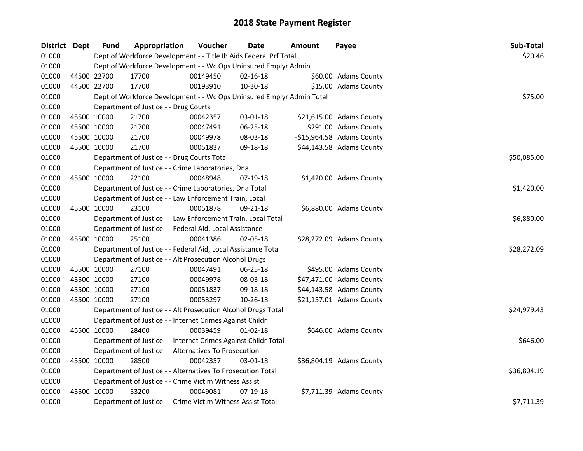| District Dept |             | <b>Fund</b> | Appropriation                                                         | Voucher  | <b>Date</b>    | <b>Amount</b> | Payee                        | Sub-Total   |
|---------------|-------------|-------------|-----------------------------------------------------------------------|----------|----------------|---------------|------------------------------|-------------|
| 01000         |             |             | Dept of Workforce Development - - Title Ib Aids Federal Prf Total     |          |                |               |                              | \$20.46     |
| 01000         |             |             | Dept of Workforce Development - - Wc Ops Uninsured Emplyr Admin       |          |                |               |                              |             |
| 01000         | 44500 22700 |             | 17700                                                                 | 00149450 | $02 - 16 - 18$ |               | \$60.00 Adams County         |             |
| 01000         | 44500 22700 |             | 17700                                                                 | 00193910 | 10-30-18       |               | \$15.00 Adams County         |             |
| 01000         |             |             | Dept of Workforce Development - - Wc Ops Uninsured Emplyr Admin Total |          |                |               |                              | \$75.00     |
| 01000         |             |             | Department of Justice - - Drug Courts                                 |          |                |               |                              |             |
| 01000         |             | 45500 10000 | 21700                                                                 | 00042357 | 03-01-18       |               | \$21,615.00 Adams County     |             |
| 01000         | 45500 10000 |             | 21700                                                                 | 00047491 | 06-25-18       |               | \$291.00 Adams County        |             |
| 01000         | 45500 10000 |             | 21700                                                                 | 00049978 | 08-03-18       |               | $-$15,964.58$ Adams County   |             |
| 01000         | 45500 10000 |             | 21700                                                                 | 00051837 | 09-18-18       |               | \$44,143.58 Adams County     |             |
| 01000         |             |             | Department of Justice - - Drug Courts Total                           |          |                |               |                              | \$50,085.00 |
| 01000         |             |             | Department of Justice - - Crime Laboratories, Dna                     |          |                |               |                              |             |
| 01000         |             | 45500 10000 | 22100                                                                 | 00048948 | 07-19-18       |               | \$1,420.00 Adams County      |             |
| 01000         |             |             | Department of Justice - - Crime Laboratories, Dna Total               |          |                |               |                              | \$1,420.00  |
| 01000         |             |             | Department of Justice - - Law Enforcement Train, Local                |          |                |               |                              |             |
| 01000         | 45500 10000 |             | 23100                                                                 | 00051878 | 09-21-18       |               | \$6,880.00 Adams County      |             |
| 01000         |             |             | Department of Justice - - Law Enforcement Train, Local Total          |          |                |               |                              | \$6,880.00  |
| 01000         |             |             | Department of Justice - - Federal Aid, Local Assistance               |          |                |               |                              |             |
| 01000         | 45500 10000 |             | 25100                                                                 | 00041386 | 02-05-18       |               | \$28,272.09 Adams County     |             |
| 01000         |             |             | Department of Justice - - Federal Aid, Local Assistance Total         |          |                |               |                              | \$28,272.09 |
| 01000         |             |             | Department of Justice - - Alt Prosecution Alcohol Drugs               |          |                |               |                              |             |
| 01000         | 45500 10000 |             | 27100                                                                 | 00047491 | 06-25-18       |               | \$495.00 Adams County        |             |
| 01000         | 45500 10000 |             | 27100                                                                 | 00049978 | 08-03-18       |               | \$47,471.00 Adams County     |             |
| 01000         | 45500 10000 |             | 27100                                                                 | 00051837 | 09-18-18       |               | $-$ \$44,143.58 Adams County |             |
| 01000         | 45500 10000 |             | 27100                                                                 | 00053297 | 10-26-18       |               | \$21,157.01 Adams County     |             |
| 01000         |             |             | Department of Justice - - Alt Prosecution Alcohol Drugs Total         |          |                |               |                              | \$24,979.43 |
| 01000         |             |             | Department of Justice - - Internet Crimes Against Childr              |          |                |               |                              |             |
| 01000         | 45500 10000 |             | 28400                                                                 | 00039459 | $01 - 02 - 18$ |               | \$646.00 Adams County        |             |
| 01000         |             |             | Department of Justice - - Internet Crimes Against Childr Total        |          |                |               |                              | \$646.00    |
| 01000         |             |             | Department of Justice - - Alternatives To Prosecution                 |          |                |               |                              |             |
| 01000         | 45500 10000 |             | 28500                                                                 | 00042357 | 03-01-18       |               | \$36,804.19 Adams County     |             |
| 01000         |             |             | Department of Justice - - Alternatives To Prosecution Total           |          |                |               |                              | \$36,804.19 |
| 01000         |             |             | Department of Justice - - Crime Victim Witness Assist                 |          |                |               |                              |             |
| 01000         | 45500 10000 |             | 53200                                                                 | 00049081 | 07-19-18       |               | \$7,711.39 Adams County      |             |
| 01000         |             |             | Department of Justice - - Crime Victim Witness Assist Total           |          |                |               |                              | \$7,711.39  |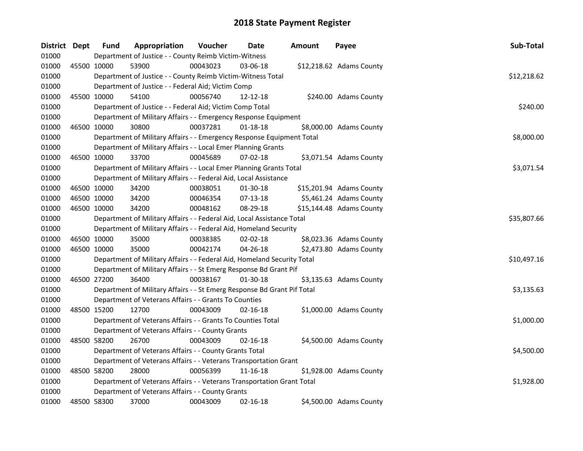| District Dept |             | <b>Fund</b> | Appropriation                                                           | Voucher  | Date           | <b>Amount</b> | Payee                    | Sub-Total   |
|---------------|-------------|-------------|-------------------------------------------------------------------------|----------|----------------|---------------|--------------------------|-------------|
| 01000         |             |             | Department of Justice - - County Reimb Victim-Witness                   |          |                |               |                          |             |
| 01000         | 45500 10000 |             | 53900                                                                   | 00043023 | 03-06-18       |               | \$12,218.62 Adams County |             |
| 01000         |             |             | Department of Justice - - County Reimb Victim-Witness Total             |          |                |               |                          | \$12,218.62 |
| 01000         |             |             | Department of Justice - - Federal Aid; Victim Comp                      |          |                |               |                          |             |
| 01000         |             | 45500 10000 | 54100                                                                   | 00056740 | 12-12-18       |               | \$240.00 Adams County    |             |
| 01000         |             |             | Department of Justice - - Federal Aid; Victim Comp Total                |          |                |               |                          | \$240.00    |
| 01000         |             |             | Department of Military Affairs - - Emergency Response Equipment         |          |                |               |                          |             |
| 01000         |             | 46500 10000 | 30800                                                                   | 00037281 | $01 - 18 - 18$ |               | \$8,000.00 Adams County  |             |
| 01000         |             |             | Department of Military Affairs - - Emergency Response Equipment Total   |          |                |               |                          | \$8,000.00  |
| 01000         |             |             | Department of Military Affairs - - Local Emer Planning Grants           |          |                |               |                          |             |
| 01000         |             | 46500 10000 | 33700                                                                   | 00045689 | 07-02-18       |               | \$3,071.54 Adams County  |             |
| 01000         |             |             | Department of Military Affairs - - Local Emer Planning Grants Total     |          |                |               |                          | \$3,071.54  |
| 01000         |             |             | Department of Military Affairs - - Federal Aid, Local Assistance        |          |                |               |                          |             |
| 01000         |             | 46500 10000 | 34200                                                                   | 00038051 | 01-30-18       |               | \$15,201.94 Adams County |             |
| 01000         |             | 46500 10000 | 34200                                                                   | 00046354 | $07-13-18$     |               | \$5,461.24 Adams County  |             |
| 01000         |             | 46500 10000 | 34200                                                                   | 00048162 | 08-29-18       |               | \$15,144.48 Adams County |             |
| 01000         |             |             | Department of Military Affairs - - Federal Aid, Local Assistance Total  |          |                |               |                          | \$35,807.66 |
| 01000         |             |             | Department of Military Affairs - - Federal Aid, Homeland Security       |          |                |               |                          |             |
| 01000         |             | 46500 10000 | 35000                                                                   | 00038385 | 02-02-18       |               | \$8,023.36 Adams County  |             |
| 01000         |             | 46500 10000 | 35000                                                                   | 00042174 | 04-26-18       |               | \$2,473.80 Adams County  |             |
| 01000         |             |             | Department of Military Affairs - - Federal Aid, Homeland Security Total |          |                |               |                          | \$10,497.16 |
| 01000         |             |             | Department of Military Affairs - - St Emerg Response Bd Grant Pif       |          |                |               |                          |             |
| 01000         | 46500 27200 |             | 36400                                                                   | 00038167 | 01-30-18       |               | \$3,135.63 Adams County  |             |
| 01000         |             |             | Department of Military Affairs - - St Emerg Response Bd Grant Pif Total |          |                |               |                          | \$3,135.63  |
| 01000         |             |             | Department of Veterans Affairs - - Grants To Counties                   |          |                |               |                          |             |
| 01000         |             | 48500 15200 | 12700                                                                   | 00043009 | $02 - 16 - 18$ |               | \$1,000.00 Adams County  |             |
| 01000         |             |             | Department of Veterans Affairs - - Grants To Counties Total             |          |                |               |                          | \$1,000.00  |
| 01000         |             |             | Department of Veterans Affairs - - County Grants                        |          |                |               |                          |             |
| 01000         |             | 48500 58200 | 26700                                                                   | 00043009 | 02-16-18       |               | \$4,500.00 Adams County  |             |
| 01000         |             |             | Department of Veterans Affairs - - County Grants Total                  |          |                |               |                          | \$4,500.00  |
| 01000         |             |             | Department of Veterans Affairs - - Veterans Transportation Grant        |          |                |               |                          |             |
| 01000         |             | 48500 58200 | 28000                                                                   | 00056399 | 11-16-18       |               | \$1,928.00 Adams County  |             |
| 01000         |             |             | Department of Veterans Affairs - - Veterans Transportation Grant Total  |          |                |               |                          | \$1,928.00  |
| 01000         |             |             | Department of Veterans Affairs - - County Grants                        |          |                |               |                          |             |
| 01000         |             | 48500 58300 | 37000                                                                   | 00043009 | 02-16-18       |               | \$4,500.00 Adams County  |             |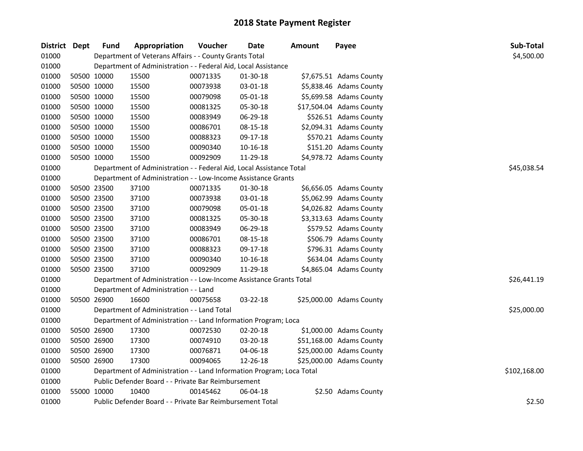| District Dept |             | <b>Fund</b> | Appropriation                                                         | Voucher  | <b>Date</b> | Amount | Payee                    | Sub-Total    |
|---------------|-------------|-------------|-----------------------------------------------------------------------|----------|-------------|--------|--------------------------|--------------|
| 01000         |             |             | Department of Veterans Affairs - - County Grants Total                |          |             |        |                          | \$4,500.00   |
| 01000         |             |             | Department of Administration - - Federal Aid, Local Assistance        |          |             |        |                          |              |
| 01000         |             | 50500 10000 | 15500                                                                 | 00071335 | 01-30-18    |        | \$7,675.51 Adams County  |              |
| 01000         |             | 50500 10000 | 15500                                                                 | 00073938 | 03-01-18    |        | \$5,838.46 Adams County  |              |
| 01000         |             | 50500 10000 | 15500                                                                 | 00079098 | 05-01-18    |        | \$5,699.58 Adams County  |              |
| 01000         |             | 50500 10000 | 15500                                                                 | 00081325 | 05-30-18    |        | \$17,504.04 Adams County |              |
| 01000         |             | 50500 10000 | 15500                                                                 | 00083949 | 06-29-18    |        | \$526.51 Adams County    |              |
| 01000         |             | 50500 10000 | 15500                                                                 | 00086701 | 08-15-18    |        | \$2,094.31 Adams County  |              |
| 01000         | 50500 10000 |             | 15500                                                                 | 00088323 | 09-17-18    |        | \$570.21 Adams County    |              |
| 01000         |             | 50500 10000 | 15500                                                                 | 00090340 | 10-16-18    |        | \$151.20 Adams County    |              |
| 01000         | 50500 10000 |             | 15500                                                                 | 00092909 | 11-29-18    |        | \$4,978.72 Adams County  |              |
| 01000         |             |             | Department of Administration - - Federal Aid, Local Assistance Total  |          |             |        |                          | \$45,038.54  |
| 01000         |             |             | Department of Administration - - Low-Income Assistance Grants         |          |             |        |                          |              |
| 01000         |             | 50500 23500 | 37100                                                                 | 00071335 | 01-30-18    |        | \$6,656.05 Adams County  |              |
| 01000         |             | 50500 23500 | 37100                                                                 | 00073938 | 03-01-18    |        | \$5,062.99 Adams County  |              |
| 01000         |             | 50500 23500 | 37100                                                                 | 00079098 | 05-01-18    |        | \$4,026.82 Adams County  |              |
| 01000         | 50500 23500 |             | 37100                                                                 | 00081325 | 05-30-18    |        | \$3,313.63 Adams County  |              |
| 01000         |             | 50500 23500 | 37100                                                                 | 00083949 | 06-29-18    |        | \$579.52 Adams County    |              |
| 01000         |             | 50500 23500 | 37100                                                                 | 00086701 | 08-15-18    |        | \$506.79 Adams County    |              |
| 01000         |             | 50500 23500 | 37100                                                                 | 00088323 | 09-17-18    |        | \$796.31 Adams County    |              |
| 01000         |             | 50500 23500 | 37100                                                                 | 00090340 | 10-16-18    |        | \$634.04 Adams County    |              |
| 01000         | 50500 23500 |             | 37100                                                                 | 00092909 | 11-29-18    |        | \$4,865.04 Adams County  |              |
| 01000         |             |             | Department of Administration - - Low-Income Assistance Grants Total   |          |             |        |                          | \$26,441.19  |
| 01000         |             |             | Department of Administration - - Land                                 |          |             |        |                          |              |
| 01000         | 50500 26900 |             | 16600                                                                 | 00075658 | 03-22-18    |        | \$25,000.00 Adams County |              |
| 01000         |             |             | Department of Administration - - Land Total                           |          |             |        |                          | \$25,000.00  |
| 01000         |             |             | Department of Administration - - Land Information Program; Loca       |          |             |        |                          |              |
| 01000         |             | 50500 26900 | 17300                                                                 | 00072530 | 02-20-18    |        | \$1,000.00 Adams County  |              |
| 01000         |             | 50500 26900 | 17300                                                                 | 00074910 | 03-20-18    |        | \$51,168.00 Adams County |              |
| 01000         |             | 50500 26900 | 17300                                                                 | 00076871 | 04-06-18    |        | \$25,000.00 Adams County |              |
| 01000         | 50500 26900 |             | 17300                                                                 | 00094065 | 12-26-18    |        | \$25,000.00 Adams County |              |
| 01000         |             |             | Department of Administration - - Land Information Program; Loca Total |          |             |        |                          | \$102,168.00 |
| 01000         |             |             | Public Defender Board - - Private Bar Reimbursement                   |          |             |        |                          |              |
| 01000         |             | 55000 10000 | 10400                                                                 | 00145462 | 06-04-18    |        | \$2.50 Adams County      |              |
| 01000         |             |             | Public Defender Board - - Private Bar Reimbursement Total             |          |             |        |                          | \$2.50       |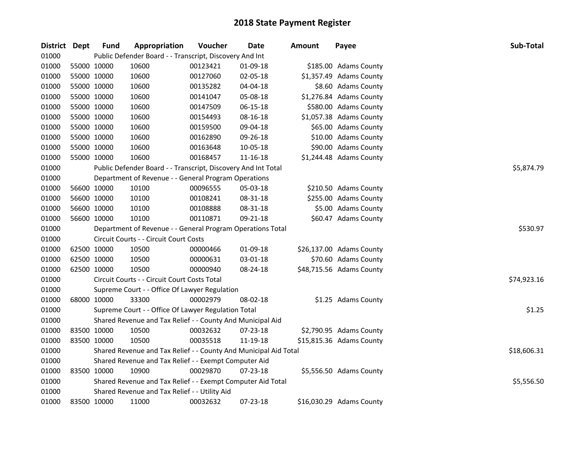| <b>District</b> | <b>Dept</b> | <b>Fund</b>                                                 | Appropriation                                                    | Voucher  | Date     | <b>Amount</b> | Payee                    | Sub-Total   |
|-----------------|-------------|-------------------------------------------------------------|------------------------------------------------------------------|----------|----------|---------------|--------------------------|-------------|
| 01000           |             |                                                             | Public Defender Board - - Transcript, Discovery And Int          |          |          |               |                          |             |
| 01000           |             | 55000 10000                                                 | 10600                                                            | 00123421 | 01-09-18 |               | \$185.00 Adams County    |             |
| 01000           | 55000 10000 |                                                             | 10600                                                            | 00127060 | 02-05-18 |               | \$1,357.49 Adams County  |             |
| 01000           | 55000 10000 |                                                             | 10600                                                            | 00135282 | 04-04-18 |               | \$8.60 Adams County      |             |
| 01000           | 55000 10000 |                                                             | 10600                                                            | 00141047 | 05-08-18 |               | \$1,276.84 Adams County  |             |
| 01000           | 55000 10000 |                                                             | 10600                                                            | 00147509 | 06-15-18 |               | \$580.00 Adams County    |             |
| 01000           | 55000 10000 |                                                             | 10600                                                            | 00154493 | 08-16-18 |               | \$1,057.38 Adams County  |             |
| 01000           | 55000 10000 |                                                             | 10600                                                            | 00159500 | 09-04-18 |               | \$65.00 Adams County     |             |
| 01000           | 55000 10000 |                                                             | 10600                                                            | 00162890 | 09-26-18 |               | \$10.00 Adams County     |             |
| 01000           | 55000 10000 |                                                             | 10600                                                            | 00163648 | 10-05-18 |               | \$90.00 Adams County     |             |
| 01000           | 55000 10000 |                                                             | 10600                                                            | 00168457 | 11-16-18 |               | \$1,244.48 Adams County  |             |
| 01000           |             |                                                             | Public Defender Board - - Transcript, Discovery And Int Total    |          |          |               |                          | \$5,874.79  |
| 01000           |             |                                                             | Department of Revenue - - General Program Operations             |          |          |               |                          |             |
| 01000           | 56600 10000 |                                                             | 10100                                                            | 00096555 | 05-03-18 |               | \$210.50 Adams County    |             |
| 01000           | 56600 10000 |                                                             | 10100                                                            | 00108241 | 08-31-18 |               | \$255.00 Adams County    |             |
| 01000           | 56600 10000 |                                                             | 10100                                                            | 00108888 | 08-31-18 |               | \$5.00 Adams County      |             |
| 01000           |             | 56600 10000                                                 | 10100                                                            | 00110871 | 09-21-18 |               | \$60.47 Adams County     |             |
| 01000           |             |                                                             | Department of Revenue - - General Program Operations Total       |          |          |               |                          | \$530.97    |
| 01000           |             |                                                             | Circuit Courts - - Circuit Court Costs                           |          |          |               |                          |             |
| 01000           | 62500 10000 |                                                             | 10500                                                            | 00000466 | 01-09-18 |               | \$26,137.00 Adams County |             |
| 01000           | 62500 10000 |                                                             | 10500                                                            | 00000631 | 03-01-18 |               | \$70.60 Adams County     |             |
| 01000           | 62500 10000 |                                                             | 10500                                                            | 00000940 | 08-24-18 |               | \$48,715.56 Adams County |             |
| 01000           |             |                                                             | Circuit Courts - - Circuit Court Costs Total                     |          |          |               |                          | \$74,923.16 |
| 01000           |             |                                                             | Supreme Court - - Office Of Lawyer Regulation                    |          |          |               |                          |             |
| 01000           |             | 68000 10000                                                 | 33300                                                            | 00002979 | 08-02-18 |               | \$1.25 Adams County      |             |
| 01000           |             |                                                             | Supreme Court - - Office Of Lawyer Regulation Total              |          |          |               |                          | \$1.25      |
| 01000           |             |                                                             | Shared Revenue and Tax Relief - - County And Municipal Aid       |          |          |               |                          |             |
| 01000           | 83500 10000 |                                                             | 10500                                                            | 00032632 | 07-23-18 |               | \$2,790.95 Adams County  |             |
| 01000           | 83500 10000 |                                                             | 10500                                                            | 00035518 | 11-19-18 |               | \$15,815.36 Adams County |             |
| 01000           |             |                                                             | Shared Revenue and Tax Relief - - County And Municipal Aid Total |          |          |               |                          | \$18,606.31 |
| 01000           |             |                                                             | Shared Revenue and Tax Relief - - Exempt Computer Aid            |          |          |               |                          |             |
| 01000           | 83500 10000 |                                                             | 10900                                                            | 00029870 | 07-23-18 |               | \$5,556.50 Adams County  |             |
| 01000           |             | Shared Revenue and Tax Relief - - Exempt Computer Aid Total |                                                                  |          |          |               |                          |             |
| 01000           |             |                                                             | Shared Revenue and Tax Relief - - Utility Aid                    |          |          |               |                          |             |
| 01000           | 83500 10000 |                                                             | 11000                                                            | 00032632 | 07-23-18 |               | \$16,030.29 Adams County |             |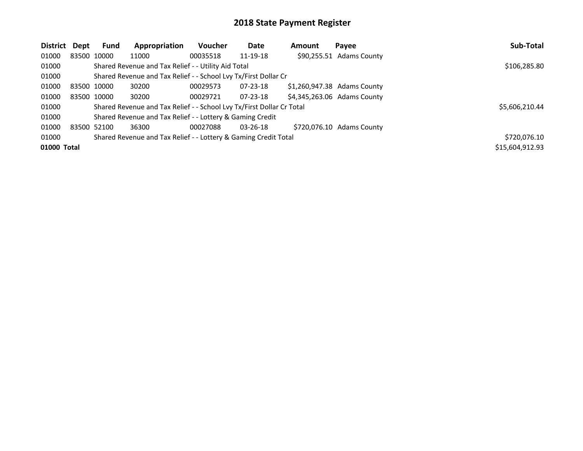| District    | Dept | Fund        | Appropriation                                                         | <b>Voucher</b> | <b>Date</b>    | Amount | Payee                       | Sub-Total       |
|-------------|------|-------------|-----------------------------------------------------------------------|----------------|----------------|--------|-----------------------------|-----------------|
| 01000       |      | 83500 10000 | 11000                                                                 | 00035518       | 11-19-18       |        | \$90,255.51 Adams County    |                 |
| 01000       |      |             | Shared Revenue and Tax Relief - - Utility Aid Total                   |                |                |        |                             | \$106,285.80    |
| 01000       |      |             | Shared Revenue and Tax Relief - - School Lvy Tx/First Dollar Cr       |                |                |        |                             |                 |
| 01000       |      | 83500 10000 | 30200                                                                 | 00029573       | $07 - 23 - 18$ |        | \$1,260,947.38 Adams County |                 |
| 01000       |      | 83500 10000 | 30200                                                                 | 00029721       | $07 - 23 - 18$ |        | \$4,345,263.06 Adams County |                 |
| 01000       |      |             | Shared Revenue and Tax Relief - - School Lvy Tx/First Dollar Cr Total |                |                |        |                             | \$5,606,210.44  |
| 01000       |      |             | Shared Revenue and Tax Relief - - Lottery & Gaming Credit             |                |                |        |                             |                 |
| 01000       |      | 83500 52100 | 36300                                                                 | 00027088       | $03 - 26 - 18$ |        | \$720,076.10 Adams County   |                 |
| 01000       |      |             | Shared Revenue and Tax Relief - - Lottery & Gaming Credit Total       |                |                |        |                             | \$720,076.10    |
| 01000 Total |      |             |                                                                       |                |                |        |                             | \$15,604,912.93 |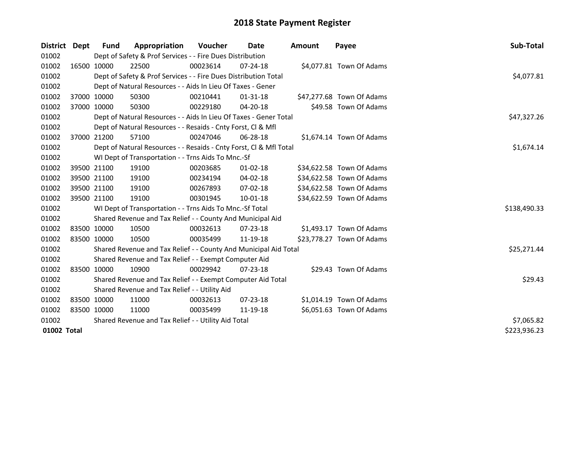| District Dept |             | Fund                                                | Appropriation                                                      | Voucher     | Date           | <b>Amount</b> | Payee                     | Sub-Total    |
|---------------|-------------|-----------------------------------------------------|--------------------------------------------------------------------|-------------|----------------|---------------|---------------------------|--------------|
| 01002         |             |                                                     | Dept of Safety & Prof Services - - Fire Dues Distribution          |             |                |               |                           |              |
| 01002         |             | 16500 10000                                         | 22500                                                              | 00023614    | $07 - 24 - 18$ |               | \$4,077.81 Town Of Adams  |              |
| 01002         |             |                                                     | Dept of Safety & Prof Services - - Fire Dues Distribution Total    |             |                |               |                           | \$4,077.81   |
| 01002         |             |                                                     | Dept of Natural Resources - - Aids In Lieu Of Taxes - Gener        |             |                |               |                           |              |
| 01002         |             | 37000 10000                                         | 50300                                                              | 00210441    | $01 - 31 - 18$ |               | \$47,277.68 Town Of Adams |              |
| 01002         |             | 37000 10000                                         | 50300                                                              | 00229180    | $04 - 20 - 18$ |               | \$49.58 Town Of Adams     |              |
| 01002         |             |                                                     | Dept of Natural Resources - - Aids In Lieu Of Taxes - Gener Total  | \$47,327.26 |                |               |                           |              |
| 01002         |             |                                                     | Dept of Natural Resources - - Resaids - Cnty Forst, Cl & Mfl       |             |                |               |                           |              |
| 01002         |             | 37000 21200                                         | 57100                                                              | 00247046    | 06-28-18       |               | \$1,674.14 Town Of Adams  |              |
| 01002         |             |                                                     | Dept of Natural Resources - - Resaids - Cnty Forst, CI & Mfl Total |             |                |               |                           | \$1,674.14   |
| 01002         |             |                                                     | WI Dept of Transportation - - Trns Aids To Mnc.-Sf                 |             |                |               |                           |              |
| 01002         |             | 39500 21100                                         | 19100                                                              | 00203685    | $01 - 02 - 18$ |               | \$34,622.58 Town Of Adams |              |
| 01002         | 39500 21100 |                                                     | 19100                                                              | 00234194    | 04-02-18       |               | \$34,622.58 Town Of Adams |              |
| 01002         |             | 39500 21100                                         | 19100                                                              | 00267893    | 07-02-18       |               | \$34,622.58 Town Of Adams |              |
| 01002         |             | 39500 21100                                         | 19100                                                              | 00301945    | $10-01-18$     |               | \$34,622.59 Town Of Adams |              |
| 01002         |             |                                                     | WI Dept of Transportation - - Trns Aids To Mnc.-Sf Total           |             |                |               |                           | \$138,490.33 |
| 01002         |             |                                                     | Shared Revenue and Tax Relief - - County And Municipal Aid         |             |                |               |                           |              |
| 01002         |             | 83500 10000                                         | 10500                                                              | 00032613    | 07-23-18       |               | \$1,493.17 Town Of Adams  |              |
| 01002         | 83500 10000 |                                                     | 10500                                                              | 00035499    | 11-19-18       |               | \$23,778.27 Town Of Adams |              |
| 01002         |             |                                                     | Shared Revenue and Tax Relief - - County And Municipal Aid Total   |             |                |               |                           | \$25,271.44  |
| 01002         |             |                                                     | Shared Revenue and Tax Relief - - Exempt Computer Aid              |             |                |               |                           |              |
| 01002         | 83500 10000 |                                                     | 10900                                                              | 00029942    | 07-23-18       |               | \$29.43 Town Of Adams     |              |
| 01002         |             |                                                     | Shared Revenue and Tax Relief - - Exempt Computer Aid Total        |             |                |               |                           | \$29.43      |
| 01002         |             |                                                     | Shared Revenue and Tax Relief - - Utility Aid                      |             |                |               |                           |              |
| 01002         | 83500 10000 |                                                     | 11000                                                              | 00032613    | $07 - 23 - 18$ |               | \$1,014.19 Town Of Adams  |              |
| 01002         | 83500 10000 |                                                     | 11000                                                              | 00035499    | 11-19-18       |               | \$6,051.63 Town Of Adams  |              |
| 01002         |             | Shared Revenue and Tax Relief - - Utility Aid Total | \$7,065.82                                                         |             |                |               |                           |              |
| 01002 Total   |             |                                                     |                                                                    |             |                |               |                           | \$223,936.23 |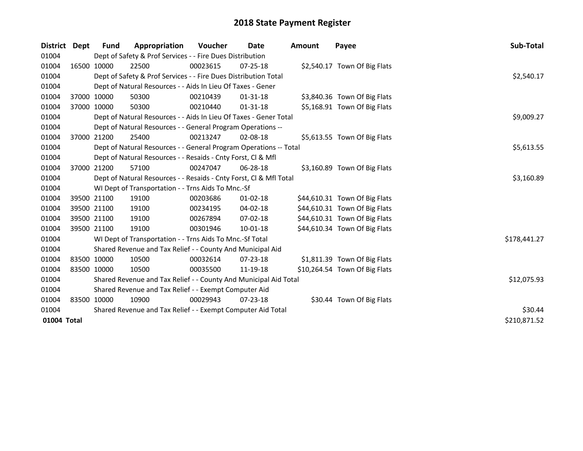| District Dept |             | <b>Fund</b> | Appropriation                                                      | <b>Voucher</b> | Date           | <b>Amount</b> | Payee                         | Sub-Total    |
|---------------|-------------|-------------|--------------------------------------------------------------------|----------------|----------------|---------------|-------------------------------|--------------|
| 01004         |             |             | Dept of Safety & Prof Services - - Fire Dues Distribution          |                |                |               |                               |              |
| 01004         |             | 16500 10000 | 22500                                                              | 00023615       | $07 - 25 - 18$ |               | \$2,540.17 Town Of Big Flats  |              |
| 01004         |             |             | Dept of Safety & Prof Services - - Fire Dues Distribution Total    |                |                |               |                               | \$2,540.17   |
| 01004         |             |             | Dept of Natural Resources - - Aids In Lieu Of Taxes - Gener        |                |                |               |                               |              |
| 01004         |             | 37000 10000 | 50300                                                              | 00210439       | 01-31-18       |               | \$3,840.36 Town Of Big Flats  |              |
| 01004         | 37000 10000 |             | 50300                                                              | 00210440       | $01 - 31 - 18$ |               | \$5,168.91 Town Of Big Flats  |              |
| 01004         |             |             | Dept of Natural Resources - - Aids In Lieu Of Taxes - Gener Total  |                |                |               |                               | \$9,009.27   |
| 01004         |             |             | Dept of Natural Resources - - General Program Operations --        |                |                |               |                               |              |
| 01004         |             | 37000 21200 | 25400                                                              | 00213247       | $02 - 08 - 18$ |               | \$5,613.55 Town Of Big Flats  |              |
| 01004         |             |             | Dept of Natural Resources - - General Program Operations -- Total  |                |                |               |                               | \$5,613.55   |
| 01004         |             |             | Dept of Natural Resources - - Resaids - Cnty Forst, Cl & Mfl       |                |                |               |                               |              |
| 01004         |             | 37000 21200 | 57100                                                              | 00247047       | $06 - 28 - 18$ |               | \$3,160.89 Town Of Big Flats  |              |
| 01004         |             |             | Dept of Natural Resources - - Resaids - Cnty Forst, Cl & Mfl Total | \$3,160.89     |                |               |                               |              |
| 01004         |             |             | WI Dept of Transportation - - Trns Aids To Mnc.-Sf                 |                |                |               |                               |              |
| 01004         |             | 39500 21100 | 19100                                                              | 00203686       | $01 - 02 - 18$ |               | \$44,610.31 Town Of Big Flats |              |
| 01004         |             | 39500 21100 | 19100                                                              | 00234195       | 04-02-18       |               | \$44,610.31 Town Of Big Flats |              |
| 01004         |             | 39500 21100 | 19100                                                              | 00267894       | $07 - 02 - 18$ |               | \$44,610.31 Town Of Big Flats |              |
| 01004         |             | 39500 21100 | 19100                                                              | 00301946       | 10-01-18       |               | \$44,610.34 Town Of Big Flats |              |
| 01004         |             |             | WI Dept of Transportation - - Trns Aids To Mnc.-Sf Total           |                |                |               |                               | \$178,441.27 |
| 01004         |             |             | Shared Revenue and Tax Relief - - County And Municipal Aid         |                |                |               |                               |              |
| 01004         |             | 83500 10000 | 10500                                                              | 00032614       | $07 - 23 - 18$ |               | \$1,811.39 Town Of Big Flats  |              |
| 01004         | 83500 10000 |             | 10500                                                              | 00035500       | 11-19-18       |               | \$10,264.54 Town Of Big Flats |              |
| 01004         |             |             | Shared Revenue and Tax Relief - - County And Municipal Aid Total   |                |                |               |                               | \$12,075.93  |
| 01004         |             |             | Shared Revenue and Tax Relief - - Exempt Computer Aid              |                |                |               |                               |              |
| 01004         |             | 83500 10000 | 10900                                                              | 00029943       | $07 - 23 - 18$ |               | \$30.44 Town Of Big Flats     |              |
| 01004         |             |             | Shared Revenue and Tax Relief - - Exempt Computer Aid Total        | \$30.44        |                |               |                               |              |
| 01004 Total   |             |             |                                                                    |                |                |               |                               | \$210,871.52 |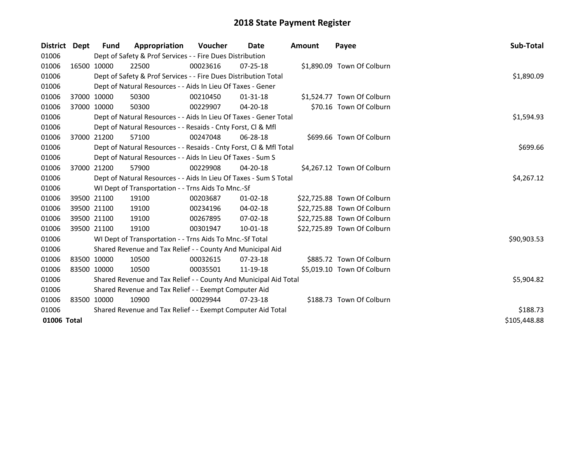| District Dept |             | <b>Fund</b> | Appropriation                                                      | <b>Voucher</b> | Date           | Amount | Payee                       | Sub-Total    |
|---------------|-------------|-------------|--------------------------------------------------------------------|----------------|----------------|--------|-----------------------------|--------------|
| 01006         |             |             | Dept of Safety & Prof Services - - Fire Dues Distribution          |                |                |        |                             |              |
| 01006         |             | 16500 10000 | 22500                                                              | 00023616       | $07 - 25 - 18$ |        | \$1,890.09 Town Of Colburn  |              |
| 01006         |             |             | Dept of Safety & Prof Services - - Fire Dues Distribution Total    |                |                |        |                             | \$1,890.09   |
| 01006         |             |             | Dept of Natural Resources - - Aids In Lieu Of Taxes - Gener        |                |                |        |                             |              |
| 01006         |             | 37000 10000 | 50300                                                              | 00210450       | $01 - 31 - 18$ |        | \$1,524.77 Town Of Colburn  |              |
| 01006         | 37000 10000 |             | 50300                                                              | 00229907       | 04-20-18       |        | \$70.16 Town Of Colburn     |              |
| 01006         |             |             | Dept of Natural Resources - - Aids In Lieu Of Taxes - Gener Total  | \$1,594.93     |                |        |                             |              |
| 01006         |             |             | Dept of Natural Resources - - Resaids - Cnty Forst, Cl & Mfl       |                |                |        |                             |              |
| 01006         |             | 37000 21200 | 57100                                                              | 00247048       | $06 - 28 - 18$ |        | \$699.66 Town Of Colburn    |              |
| 01006         |             |             | Dept of Natural Resources - - Resaids - Cnty Forst, Cl & Mfl Total |                |                |        |                             | \$699.66     |
| 01006         |             |             | Dept of Natural Resources - - Aids In Lieu Of Taxes - Sum S        |                |                |        |                             |              |
| 01006         |             | 37000 21200 | 57900                                                              | 00229908       | 04-20-18       |        | \$4,267.12 Town Of Colburn  |              |
| 01006         |             |             | Dept of Natural Resources - - Aids In Lieu Of Taxes - Sum S Total  | \$4,267.12     |                |        |                             |              |
| 01006         |             |             | WI Dept of Transportation - - Trns Aids To Mnc.-Sf                 |                |                |        |                             |              |
| 01006         |             | 39500 21100 | 19100                                                              | 00203687       | $01 - 02 - 18$ |        | \$22,725.88 Town Of Colburn |              |
| 01006         |             | 39500 21100 | 19100                                                              | 00234196       | 04-02-18       |        | \$22,725.88 Town Of Colburn |              |
| 01006         |             | 39500 21100 | 19100                                                              | 00267895       | 07-02-18       |        | \$22,725.88 Town Of Colburn |              |
| 01006         |             | 39500 21100 | 19100                                                              | 00301947       | 10-01-18       |        | \$22,725.89 Town Of Colburn |              |
| 01006         |             |             | WI Dept of Transportation - - Trns Aids To Mnc.-Sf Total           |                |                |        |                             | \$90,903.53  |
| 01006         |             |             | Shared Revenue and Tax Relief - - County And Municipal Aid         |                |                |        |                             |              |
| 01006         |             | 83500 10000 | 10500                                                              | 00032615       | $07 - 23 - 18$ |        | \$885.72 Town Of Colburn    |              |
| 01006         | 83500 10000 |             | 10500                                                              | 00035501       | 11-19-18       |        | \$5,019.10 Town Of Colburn  |              |
| 01006         |             |             | Shared Revenue and Tax Relief - - County And Municipal Aid Total   |                |                |        |                             | \$5,904.82   |
| 01006         |             |             | Shared Revenue and Tax Relief - - Exempt Computer Aid              |                |                |        |                             |              |
| 01006         |             | 83500 10000 | 10900                                                              | 00029944       | $07 - 23 - 18$ |        | \$188.73 Town Of Colburn    |              |
| 01006         |             |             | Shared Revenue and Tax Relief - - Exempt Computer Aid Total        | \$188.73       |                |        |                             |              |
| 01006 Total   |             |             |                                                                    |                |                |        |                             | \$105,448.88 |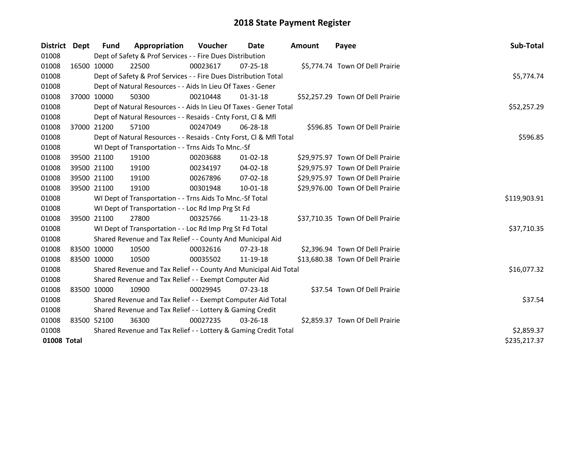| District    | Dept | <b>Fund</b>                                               | Appropriation                                                      | <b>Voucher</b> | Date           | <b>Amount</b> | Payee                            | Sub-Total    |  |
|-------------|------|-----------------------------------------------------------|--------------------------------------------------------------------|----------------|----------------|---------------|----------------------------------|--------------|--|
| 01008       |      |                                                           | Dept of Safety & Prof Services - - Fire Dues Distribution          |                |                |               |                                  |              |  |
| 01008       |      | 16500 10000                                               | 22500                                                              | 00023617       | $07 - 25 - 18$ |               | \$5,774.74 Town Of Dell Prairie  |              |  |
| 01008       |      |                                                           | Dept of Safety & Prof Services - - Fire Dues Distribution Total    |                |                |               |                                  | \$5,774.74   |  |
| 01008       |      |                                                           | Dept of Natural Resources - - Aids In Lieu Of Taxes - Gener        |                |                |               |                                  |              |  |
| 01008       |      | 37000 10000                                               | 50300                                                              | 00210448       | 01-31-18       |               | \$52,257.29 Town Of Dell Prairie |              |  |
| 01008       |      |                                                           | Dept of Natural Resources - - Aids In Lieu Of Taxes - Gener Total  |                |                |               |                                  | \$52,257.29  |  |
| 01008       |      |                                                           | Dept of Natural Resources - - Resaids - Cnty Forst, Cl & Mfl       |                |                |               |                                  |              |  |
| 01008       |      | 37000 21200                                               | 57100                                                              | 00247049       | 06-28-18       |               | \$596.85 Town Of Dell Prairie    |              |  |
| 01008       |      |                                                           | Dept of Natural Resources - - Resaids - Cnty Forst, Cl & Mfl Total |                |                |               |                                  | \$596.85     |  |
| 01008       |      |                                                           | WI Dept of Transportation - - Trns Aids To Mnc.-Sf                 |                |                |               |                                  |              |  |
| 01008       |      | 39500 21100                                               | 19100                                                              | 00203688       | $01-02-18$     |               | \$29,975.97 Town Of Dell Prairie |              |  |
| 01008       |      | 39500 21100                                               | 19100                                                              | 00234197       | 04-02-18       |               | \$29,975.97 Town Of Dell Prairie |              |  |
| 01008       |      | 39500 21100                                               | 19100                                                              | 00267896       | 07-02-18       |               | \$29,975.97 Town Of Dell Prairie |              |  |
| 01008       |      | 39500 21100                                               | 19100                                                              | 00301948       | 10-01-18       |               | \$29,976.00 Town Of Dell Prairie |              |  |
| 01008       |      |                                                           | WI Dept of Transportation - - Trns Aids To Mnc.-Sf Total           |                |                |               |                                  | \$119,903.91 |  |
| 01008       |      |                                                           | WI Dept of Transportation - - Loc Rd Imp Prg St Fd                 |                |                |               |                                  |              |  |
| 01008       |      | 39500 21100                                               | 27800                                                              | 00325766       | $11 - 23 - 18$ |               | \$37,710.35 Town Of Dell Prairie |              |  |
| 01008       |      |                                                           | WI Dept of Transportation - - Loc Rd Imp Prg St Fd Total           |                |                |               |                                  | \$37,710.35  |  |
| 01008       |      |                                                           | Shared Revenue and Tax Relief - - County And Municipal Aid         |                |                |               |                                  |              |  |
| 01008       |      | 83500 10000                                               | 10500                                                              | 00032616       | 07-23-18       |               | \$2,396.94 Town Of Dell Prairie  |              |  |
| 01008       |      | 83500 10000                                               | 10500                                                              | 00035502       | 11-19-18       |               | \$13,680.38 Town Of Dell Prairie |              |  |
| 01008       |      |                                                           | Shared Revenue and Tax Relief - - County And Municipal Aid Total   |                |                |               |                                  | \$16,077.32  |  |
| 01008       |      |                                                           | Shared Revenue and Tax Relief - - Exempt Computer Aid              |                |                |               |                                  |              |  |
| 01008       |      | 83500 10000                                               | 10900                                                              | 00029945       | $07 - 23 - 18$ |               | \$37.54 Town Of Dell Prairie     |              |  |
| 01008       |      |                                                           | Shared Revenue and Tax Relief - - Exempt Computer Aid Total        |                |                |               |                                  | \$37.54      |  |
| 01008       |      | Shared Revenue and Tax Relief - - Lottery & Gaming Credit |                                                                    |                |                |               |                                  |              |  |
| 01008       |      | 83500 52100                                               | 36300                                                              | 00027235       | $03 - 26 - 18$ |               | \$2,859.37 Town Of Dell Prairie  |              |  |
| 01008       |      |                                                           | Shared Revenue and Tax Relief - - Lottery & Gaming Credit Total    | \$2,859.37     |                |               |                                  |              |  |
| 01008 Total |      |                                                           |                                                                    |                |                |               |                                  | \$235,217.37 |  |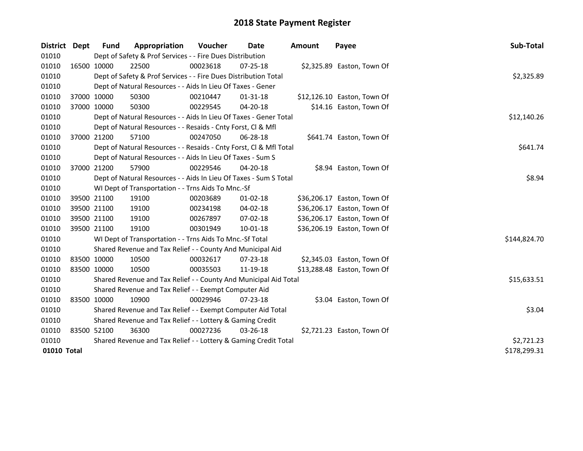| <b>District</b> | <b>Dept</b> | <b>Fund</b>                                                     | Appropriation                                                      | <b>Voucher</b> | Date           | Amount | Payee                       | Sub-Total    |
|-----------------|-------------|-----------------------------------------------------------------|--------------------------------------------------------------------|----------------|----------------|--------|-----------------------------|--------------|
| 01010           |             |                                                                 | Dept of Safety & Prof Services - - Fire Dues Distribution          |                |                |        |                             |              |
| 01010           |             | 16500 10000                                                     | 22500                                                              | 00023618       | 07-25-18       |        | \$2,325.89 Easton, Town Of  |              |
| 01010           |             |                                                                 | Dept of Safety & Prof Services - - Fire Dues Distribution Total    |                |                |        |                             | \$2,325.89   |
| 01010           |             |                                                                 | Dept of Natural Resources - - Aids In Lieu Of Taxes - Gener        |                |                |        |                             |              |
| 01010           |             | 37000 10000                                                     | 50300                                                              | 00210447       | $01 - 31 - 18$ |        | \$12,126.10 Easton, Town Of |              |
| 01010           |             | 37000 10000                                                     | 50300                                                              | 00229545       | 04-20-18       |        | \$14.16 Easton, Town Of     |              |
| 01010           |             |                                                                 | Dept of Natural Resources - - Aids In Lieu Of Taxes - Gener Total  | \$12,140.26    |                |        |                             |              |
| 01010           |             |                                                                 | Dept of Natural Resources - - Resaids - Cnty Forst, Cl & Mfl       |                |                |        |                             |              |
| 01010           |             | 37000 21200                                                     | 57100                                                              | 00247050       | 06-28-18       |        | \$641.74 Easton, Town Of    |              |
| 01010           |             |                                                                 | Dept of Natural Resources - - Resaids - Cnty Forst, Cl & Mfl Total |                |                |        |                             | \$641.74     |
| 01010           |             |                                                                 | Dept of Natural Resources - - Aids In Lieu Of Taxes - Sum S        |                |                |        |                             |              |
| 01010           |             | 37000 21200                                                     | 57900                                                              | 00229546       | 04-20-18       |        | \$8.94 Easton, Town Of      |              |
| 01010           |             |                                                                 | Dept of Natural Resources - - Aids In Lieu Of Taxes - Sum S Total  | \$8.94         |                |        |                             |              |
| 01010           |             |                                                                 | WI Dept of Transportation - - Trns Aids To Mnc.-Sf                 |                |                |        |                             |              |
| 01010           |             | 39500 21100                                                     | 19100                                                              | 00203689       | 01-02-18       |        | \$36,206.17 Easton, Town Of |              |
| 01010           |             | 39500 21100                                                     | 19100                                                              | 00234198       | 04-02-18       |        | \$36,206.17 Easton, Town Of |              |
| 01010           |             | 39500 21100                                                     | 19100                                                              | 00267897       | 07-02-18       |        | \$36,206.17 Easton, Town Of |              |
| 01010           |             | 39500 21100                                                     | 19100                                                              | 00301949       | $10 - 01 - 18$ |        | \$36,206.19 Easton, Town Of |              |
| 01010           |             |                                                                 | WI Dept of Transportation - - Trns Aids To Mnc.-Sf Total           |                |                |        |                             | \$144,824.70 |
| 01010           |             |                                                                 | Shared Revenue and Tax Relief - - County And Municipal Aid         |                |                |        |                             |              |
| 01010           |             | 83500 10000                                                     | 10500                                                              | 00032617       | 07-23-18       |        | \$2,345.03 Easton, Town Of  |              |
| 01010           |             | 83500 10000                                                     | 10500                                                              | 00035503       | 11-19-18       |        | \$13,288.48 Easton, Town Of |              |
| 01010           |             |                                                                 | Shared Revenue and Tax Relief - - County And Municipal Aid Total   |                |                |        |                             | \$15,633.51  |
| 01010           |             |                                                                 | Shared Revenue and Tax Relief - - Exempt Computer Aid              |                |                |        |                             |              |
| 01010           |             | 83500 10000                                                     | 10900                                                              | 00029946       | $07 - 23 - 18$ |        | \$3.04 Easton, Town Of      |              |
| 01010           |             |                                                                 | Shared Revenue and Tax Relief - - Exempt Computer Aid Total        |                |                |        |                             | \$3.04       |
| 01010           |             | Shared Revenue and Tax Relief - - Lottery & Gaming Credit       |                                                                    |                |                |        |                             |              |
| 01010           |             | 83500 52100                                                     | 36300                                                              | 00027236       | 03-26-18       |        | \$2,721.23 Easton, Town Of  |              |
| 01010           |             | Shared Revenue and Tax Relief - - Lottery & Gaming Credit Total | \$2,721.23                                                         |                |                |        |                             |              |
| 01010 Total     |             |                                                                 |                                                                    |                |                |        |                             | \$178,299.31 |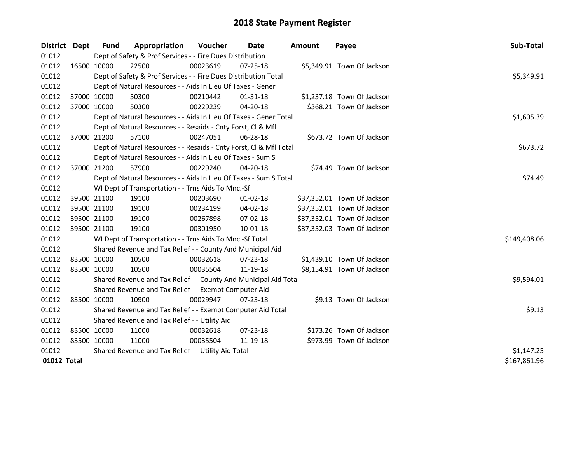| District Dept |             | <b>Fund</b>                                         | Appropriation                                                      | Voucher  | Date           | <b>Amount</b> | Payee                       | Sub-Total    |
|---------------|-------------|-----------------------------------------------------|--------------------------------------------------------------------|----------|----------------|---------------|-----------------------------|--------------|
| 01012         |             |                                                     | Dept of Safety & Prof Services - - Fire Dues Distribution          |          |                |               |                             |              |
| 01012         |             | 16500 10000                                         | 22500                                                              | 00023619 | $07 - 25 - 18$ |               | \$5,349.91 Town Of Jackson  |              |
| 01012         |             |                                                     | Dept of Safety & Prof Services - - Fire Dues Distribution Total    |          |                |               |                             | \$5,349.91   |
| 01012         |             |                                                     | Dept of Natural Resources - - Aids In Lieu Of Taxes - Gener        |          |                |               |                             |              |
| 01012         |             | 37000 10000                                         | 50300                                                              | 00210442 | $01 - 31 - 18$ |               | \$1,237.18 Town Of Jackson  |              |
| 01012         |             | 37000 10000                                         | 50300                                                              | 00229239 | 04-20-18       |               | \$368.21 Town Of Jackson    |              |
| 01012         |             |                                                     | Dept of Natural Resources - - Aids In Lieu Of Taxes - Gener Total  |          |                |               |                             | \$1,605.39   |
| 01012         |             |                                                     | Dept of Natural Resources - - Resaids - Cnty Forst, CI & Mfl       |          |                |               |                             |              |
| 01012         |             | 37000 21200                                         | 57100                                                              | 00247051 | 06-28-18       |               | \$673.72 Town Of Jackson    |              |
| 01012         |             |                                                     | Dept of Natural Resources - - Resaids - Cnty Forst, Cl & Mfl Total |          |                |               |                             | \$673.72     |
| 01012         |             |                                                     | Dept of Natural Resources - - Aids In Lieu Of Taxes - Sum S        |          |                |               |                             |              |
| 01012         |             | 37000 21200                                         | 57900                                                              | 00229240 | $04 - 20 - 18$ |               | \$74.49 Town Of Jackson     |              |
| 01012         |             |                                                     | Dept of Natural Resources - - Aids In Lieu Of Taxes - Sum S Total  |          |                |               |                             | \$74.49      |
| 01012         |             |                                                     | WI Dept of Transportation - - Trns Aids To Mnc.-Sf                 |          |                |               |                             |              |
| 01012         |             | 39500 21100                                         | 19100                                                              | 00203690 | $01-02-18$     |               | \$37,352.01 Town Of Jackson |              |
| 01012         | 39500 21100 |                                                     | 19100                                                              | 00234199 | 04-02-18       |               | \$37,352.01 Town Of Jackson |              |
| 01012         | 39500 21100 |                                                     | 19100                                                              | 00267898 | 07-02-18       |               | \$37,352.01 Town Of Jackson |              |
| 01012         |             | 39500 21100                                         | 19100                                                              | 00301950 | $10 - 01 - 18$ |               | \$37,352.03 Town Of Jackson |              |
| 01012         |             |                                                     | WI Dept of Transportation - - Trns Aids To Mnc.-Sf Total           |          |                |               |                             | \$149,408.06 |
| 01012         |             |                                                     | Shared Revenue and Tax Relief - - County And Municipal Aid         |          |                |               |                             |              |
| 01012         | 83500 10000 |                                                     | 10500                                                              | 00032618 | 07-23-18       |               | \$1,439.10 Town Of Jackson  |              |
| 01012         | 83500 10000 |                                                     | 10500                                                              | 00035504 | 11-19-18       |               | \$8,154.91 Town Of Jackson  |              |
| 01012         |             |                                                     | Shared Revenue and Tax Relief - - County And Municipal Aid Total   |          |                |               |                             | \$9,594.01   |
| 01012         |             |                                                     | Shared Revenue and Tax Relief - - Exempt Computer Aid              |          |                |               |                             |              |
| 01012         | 83500 10000 |                                                     | 10900                                                              | 00029947 | $07 - 23 - 18$ |               | \$9.13 Town Of Jackson      |              |
| 01012         |             |                                                     | Shared Revenue and Tax Relief - - Exempt Computer Aid Total        |          |                |               |                             | \$9.13       |
| 01012         |             |                                                     | Shared Revenue and Tax Relief - - Utility Aid                      |          |                |               |                             |              |
| 01012         | 83500 10000 |                                                     | 11000                                                              | 00032618 | $07 - 23 - 18$ |               | \$173.26 Town Of Jackson    |              |
| 01012         | 83500 10000 |                                                     | 11000                                                              | 00035504 | 11-19-18       |               | \$973.99 Town Of Jackson    |              |
| 01012         |             | Shared Revenue and Tax Relief - - Utility Aid Total | \$1,147.25                                                         |          |                |               |                             |              |
| 01012 Total   |             |                                                     |                                                                    |          |                |               |                             | \$167,861.96 |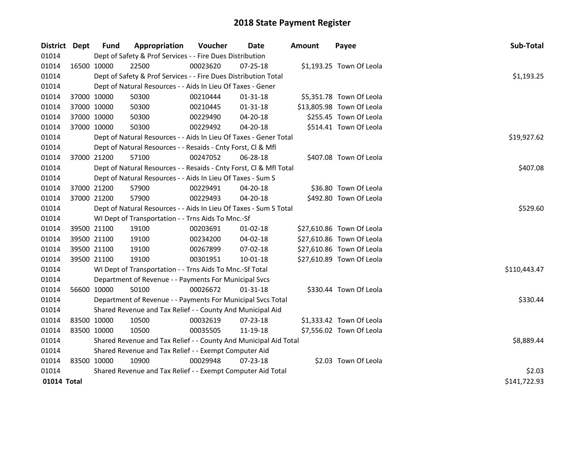| District Dept | <b>Fund</b>                                                      | Appropriation                                                      | Voucher     | Date           | <b>Amount</b> | Payee                     | Sub-Total    |  |
|---------------|------------------------------------------------------------------|--------------------------------------------------------------------|-------------|----------------|---------------|---------------------------|--------------|--|
| 01014         |                                                                  | Dept of Safety & Prof Services - - Fire Dues Distribution          |             |                |               |                           |              |  |
| 01014         | 16500 10000                                                      | 22500                                                              | 00023620    | 07-25-18       |               | \$1,193.25 Town Of Leola  |              |  |
| 01014         |                                                                  | Dept of Safety & Prof Services - - Fire Dues Distribution Total    |             |                |               |                           | \$1,193.25   |  |
| 01014         |                                                                  | Dept of Natural Resources - - Aids In Lieu Of Taxes - Gener        |             |                |               |                           |              |  |
| 01014         | 37000 10000                                                      | 50300                                                              | 00210444    | 01-31-18       |               | \$5,351.78 Town Of Leola  |              |  |
| 01014         | 37000 10000                                                      | 50300                                                              | 00210445    | $01 - 31 - 18$ |               | \$13,805.98 Town Of Leola |              |  |
| 01014         | 37000 10000                                                      | 50300                                                              | 00229490    | 04-20-18       |               | \$255.45 Town Of Leola    |              |  |
| 01014         | 37000 10000                                                      | 50300                                                              | 00229492    | 04-20-18       |               | \$514.41 Town Of Leola    |              |  |
| 01014         |                                                                  | Dept of Natural Resources - - Aids In Lieu Of Taxes - Gener Total  | \$19,927.62 |                |               |                           |              |  |
| 01014         |                                                                  | Dept of Natural Resources - - Resaids - Cnty Forst, Cl & Mfl       |             |                |               |                           |              |  |
| 01014         | 37000 21200                                                      | 57100                                                              | 00247052    | 06-28-18       |               | \$407.08 Town Of Leola    |              |  |
| 01014         |                                                                  | Dept of Natural Resources - - Resaids - Cnty Forst, Cl & Mfl Total |             |                |               |                           | \$407.08     |  |
| 01014         |                                                                  | Dept of Natural Resources - - Aids In Lieu Of Taxes - Sum S        |             |                |               |                           |              |  |
| 01014         | 37000 21200                                                      | 57900                                                              | 00229491    | 04-20-18       |               | \$36.80 Town Of Leola     |              |  |
| 01014         | 37000 21200                                                      | 57900                                                              | 00229493    | 04-20-18       |               | \$492.80 Town Of Leola    |              |  |
| 01014         |                                                                  | Dept of Natural Resources - - Aids In Lieu Of Taxes - Sum S Total  | \$529.60    |                |               |                           |              |  |
| 01014         |                                                                  | WI Dept of Transportation - - Trns Aids To Mnc.-Sf                 |             |                |               |                           |              |  |
| 01014         | 39500 21100                                                      | 19100                                                              | 00203691    | $01-02-18$     |               | \$27,610.86 Town Of Leola |              |  |
| 01014         | 39500 21100                                                      | 19100                                                              | 00234200    | 04-02-18       |               | \$27,610.86 Town Of Leola |              |  |
| 01014         | 39500 21100                                                      | 19100                                                              | 00267899    | 07-02-18       |               | \$27,610.86 Town Of Leola |              |  |
| 01014         | 39500 21100                                                      | 19100                                                              | 00301951    | $10 - 01 - 18$ |               | \$27,610.89 Town Of Leola |              |  |
| 01014         |                                                                  | WI Dept of Transportation - - Trns Aids To Mnc.-Sf Total           |             |                |               |                           | \$110,443.47 |  |
| 01014         |                                                                  | Department of Revenue - - Payments For Municipal Svcs              |             |                |               |                           |              |  |
| 01014         | 56600 10000                                                      | 50100                                                              | 00026672    | 01-31-18       |               | \$330.44 Town Of Leola    |              |  |
| 01014         |                                                                  | Department of Revenue - - Payments For Municipal Svcs Total        |             |                |               |                           | \$330.44     |  |
| 01014         |                                                                  | Shared Revenue and Tax Relief - - County And Municipal Aid         |             |                |               |                           |              |  |
| 01014         | 83500 10000                                                      | 10500                                                              | 00032619    | 07-23-18       |               | \$1,333.42 Town Of Leola  |              |  |
| 01014         | 83500 10000                                                      | 10500                                                              | 00035505    | 11-19-18       |               | \$7,556.02 Town Of Leola  |              |  |
| 01014         | Shared Revenue and Tax Relief - - County And Municipal Aid Total | \$8,889.44                                                         |             |                |               |                           |              |  |
| 01014         | Shared Revenue and Tax Relief - - Exempt Computer Aid            |                                                                    |             |                |               |                           |              |  |
| 01014         | 83500 10000                                                      | 10900                                                              | 00029948    | 07-23-18       |               | \$2.03 Town Of Leola      |              |  |
| 01014         |                                                                  | Shared Revenue and Tax Relief - - Exempt Computer Aid Total        |             |                |               |                           | \$2.03       |  |
| 01014 Total   |                                                                  |                                                                    |             |                |               |                           | \$141,722.93 |  |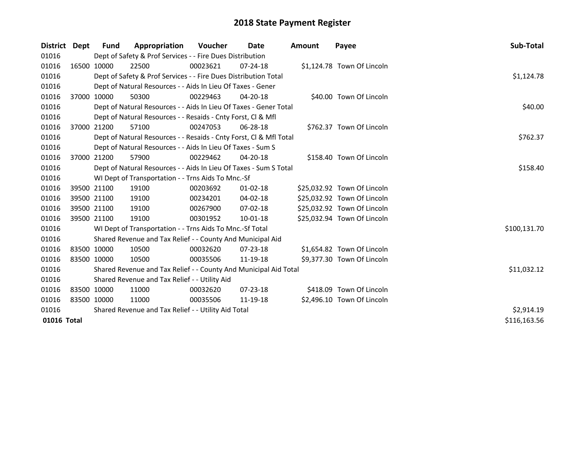| District Dept |             | <b>Fund</b> | Appropriation                                                      | <b>Voucher</b> | Date           | Amount | Payee                       | Sub-Total    |
|---------------|-------------|-------------|--------------------------------------------------------------------|----------------|----------------|--------|-----------------------------|--------------|
| 01016         |             |             | Dept of Safety & Prof Services - - Fire Dues Distribution          |                |                |        |                             |              |
| 01016         |             | 16500 10000 | 22500                                                              | 00023621       | $07 - 24 - 18$ |        | \$1,124.78 Town Of Lincoln  |              |
| 01016         |             |             | Dept of Safety & Prof Services - - Fire Dues Distribution Total    |                |                |        |                             | \$1,124.78   |
| 01016         |             |             | Dept of Natural Resources - - Aids In Lieu Of Taxes - Gener        |                |                |        |                             |              |
| 01016         |             | 37000 10000 | 50300                                                              | 00229463       | 04-20-18       |        | \$40.00 Town Of Lincoln     |              |
| 01016         |             |             | Dept of Natural Resources - - Aids In Lieu Of Taxes - Gener Total  |                |                |        |                             | \$40.00      |
| 01016         |             |             | Dept of Natural Resources - - Resaids - Cnty Forst, Cl & Mfl       |                |                |        |                             |              |
| 01016         |             | 37000 21200 | 57100                                                              | 00247053       | 06-28-18       |        | \$762.37 Town Of Lincoln    |              |
| 01016         |             |             | Dept of Natural Resources - - Resaids - Cnty Forst, CI & Mfl Total |                |                |        |                             | \$762.37     |
| 01016         |             |             | Dept of Natural Resources - - Aids In Lieu Of Taxes - Sum S        |                |                |        |                             |              |
| 01016         |             | 37000 21200 | 57900                                                              | 00229462       | 04-20-18       |        | \$158.40 Town Of Lincoln    |              |
| 01016         |             |             | Dept of Natural Resources - - Aids In Lieu Of Taxes - Sum S Total  |                |                |        |                             | \$158.40     |
| 01016         |             |             | WI Dept of Transportation - - Trns Aids To Mnc.-Sf                 |                |                |        |                             |              |
| 01016         |             | 39500 21100 | 19100                                                              | 00203692       | $01 - 02 - 18$ |        | \$25,032.92 Town Of Lincoln |              |
| 01016         |             | 39500 21100 | 19100                                                              | 00234201       | $04 - 02 - 18$ |        | \$25,032.92 Town Of Lincoln |              |
| 01016         |             | 39500 21100 | 19100                                                              | 00267900       | 07-02-18       |        | \$25,032.92 Town Of Lincoln |              |
| 01016         | 39500 21100 |             | 19100                                                              | 00301952       | 10-01-18       |        | \$25,032.94 Town Of Lincoln |              |
| 01016         |             |             | WI Dept of Transportation - - Trns Aids To Mnc.-Sf Total           |                |                |        |                             | \$100,131.70 |
| 01016         |             |             | Shared Revenue and Tax Relief - - County And Municipal Aid         |                |                |        |                             |              |
| 01016         |             | 83500 10000 | 10500                                                              | 00032620       | 07-23-18       |        | \$1,654.82 Town Of Lincoln  |              |
| 01016         | 83500 10000 |             | 10500                                                              | 00035506       | 11-19-18       |        | \$9,377.30 Town Of Lincoln  |              |
| 01016         |             |             | Shared Revenue and Tax Relief - - County And Municipal Aid Total   |                |                |        |                             | \$11,032.12  |
| 01016         |             |             | Shared Revenue and Tax Relief - - Utility Aid                      |                |                |        |                             |              |
| 01016         |             | 83500 10000 | 11000                                                              | 00032620       | $07 - 23 - 18$ |        | \$418.09 Town Of Lincoln    |              |
| 01016         |             | 83500 10000 | 11000                                                              | 00035506       | 11-19-18       |        | \$2,496.10 Town Of Lincoln  |              |
| 01016         |             |             | Shared Revenue and Tax Relief - - Utility Aid Total                | \$2,914.19     |                |        |                             |              |
| 01016 Total   |             |             |                                                                    |                |                |        |                             | \$116,163.56 |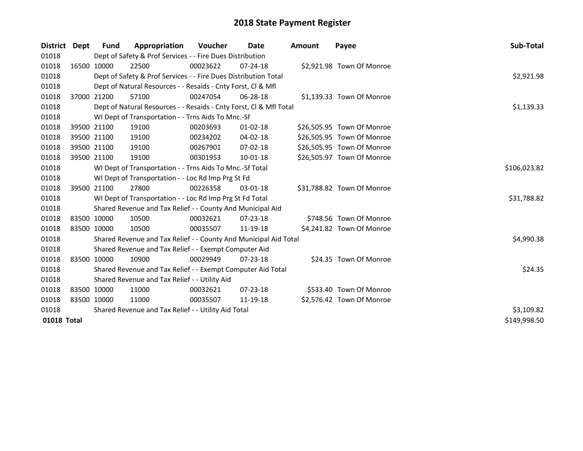| District Dept | <b>Fund</b> | Appropriation                                                      | <b>Voucher</b> | Date           | Amount | Payee                      | Sub-Total    |
|---------------|-------------|--------------------------------------------------------------------|----------------|----------------|--------|----------------------------|--------------|
| 01018         |             | Dept of Safety & Prof Services - - Fire Dues Distribution          |                |                |        |                            |              |
| 01018         | 16500 10000 | 22500                                                              | 00023622       | $07 - 24 - 18$ |        | \$2,921.98 Town Of Monroe  |              |
| 01018         |             | Dept of Safety & Prof Services - - Fire Dues Distribution Total    |                |                |        |                            | \$2,921.98   |
| 01018         |             | Dept of Natural Resources - - Resaids - Cnty Forst, Cl & Mfl       |                |                |        |                            |              |
| 01018         | 37000 21200 | 57100                                                              | 00247054       | 06-28-18       |        | \$1,139.33 Town Of Monroe  |              |
| 01018         |             | Dept of Natural Resources - - Resaids - Cnty Forst, Cl & Mfl Total |                |                |        |                            | \$1,139.33   |
| 01018         |             | WI Dept of Transportation - - Trns Aids To Mnc.-Sf                 |                |                |        |                            |              |
| 01018         | 39500 21100 | 19100                                                              | 00203693       | $01 - 02 - 18$ |        | \$26,505.95 Town Of Monroe |              |
| 01018         | 39500 21100 | 19100                                                              | 00234202       | 04-02-18       |        | \$26,505.95 Town Of Monroe |              |
| 01018         | 39500 21100 | 19100                                                              | 00267901       | 07-02-18       |        | \$26,505.95 Town Of Monroe |              |
| 01018         | 39500 21100 | 19100                                                              | 00301953       | 10-01-18       |        | \$26,505.97 Town Of Monroe |              |
| 01018         |             | WI Dept of Transportation - - Trns Aids To Mnc.-Sf Total           |                |                |        |                            | \$106,023.82 |
| 01018         |             | WI Dept of Transportation - - Loc Rd Imp Prg St Fd                 |                |                |        |                            |              |
| 01018         | 39500 21100 | 27800                                                              | 00226358       | $03-01-18$     |        | \$31,788.82 Town Of Monroe |              |
| 01018         |             | WI Dept of Transportation - - Loc Rd Imp Prg St Fd Total           |                |                |        |                            | \$31,788.82  |
| 01018         |             | Shared Revenue and Tax Relief - - County And Municipal Aid         |                |                |        |                            |              |
| 01018         | 83500 10000 | 10500                                                              | 00032621       | $07 - 23 - 18$ |        | \$748.56 Town Of Monroe    |              |
| 01018         | 83500 10000 | 10500                                                              | 00035507       | 11-19-18       |        | \$4,241.82 Town Of Monroe  |              |
| 01018         |             | Shared Revenue and Tax Relief - - County And Municipal Aid Total   |                |                |        |                            | \$4,990.38   |
| 01018         |             | Shared Revenue and Tax Relief - - Exempt Computer Aid              |                |                |        |                            |              |
| 01018         | 83500 10000 | 10900                                                              | 00029949       | $07 - 23 - 18$ |        | \$24.35 Town Of Monroe     |              |
| 01018         |             | Shared Revenue and Tax Relief - - Exempt Computer Aid Total        |                |                |        |                            | \$24.35      |
| 01018         |             | Shared Revenue and Tax Relief - - Utility Aid                      |                |                |        |                            |              |
| 01018         | 83500 10000 | 11000                                                              | 00032621       | $07 - 23 - 18$ |        | \$533.40 Town Of Monroe    |              |
| 01018         | 83500 10000 | 11000                                                              | 00035507       | 11-19-18       |        | \$2,576.42 Town Of Monroe  |              |
| 01018         |             | Shared Revenue and Tax Relief - - Utility Aid Total                | \$3,109.82     |                |        |                            |              |
| 01018 Total   |             |                                                                    |                |                |        |                            | \$149,998.50 |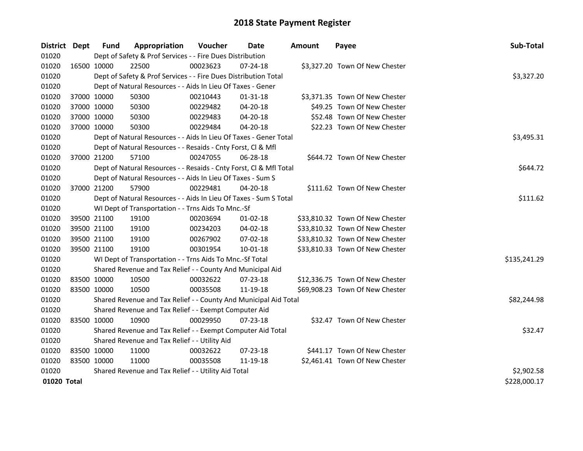| District Dept |             | <b>Fund</b>                                   | Appropriation                                                      | Voucher    | <b>Date</b>    | <b>Amount</b> | Payee                           | Sub-Total    |  |
|---------------|-------------|-----------------------------------------------|--------------------------------------------------------------------|------------|----------------|---------------|---------------------------------|--------------|--|
| 01020         |             |                                               | Dept of Safety & Prof Services - - Fire Dues Distribution          |            |                |               |                                 |              |  |
| 01020         | 16500 10000 |                                               | 22500                                                              | 00023623   | $07 - 24 - 18$ |               | \$3,327.20 Town Of New Chester  |              |  |
| 01020         |             |                                               | Dept of Safety & Prof Services - - Fire Dues Distribution Total    |            |                |               |                                 | \$3,327.20   |  |
| 01020         |             |                                               | Dept of Natural Resources - - Aids In Lieu Of Taxes - Gener        |            |                |               |                                 |              |  |
| 01020         | 37000 10000 |                                               | 50300                                                              | 00210443   | $01 - 31 - 18$ |               | \$3,371.35 Town Of New Chester  |              |  |
| 01020         | 37000 10000 |                                               | 50300                                                              | 00229482   | 04-20-18       |               | \$49.25 Town Of New Chester     |              |  |
| 01020         | 37000 10000 |                                               | 50300                                                              | 00229483   | $04 - 20 - 18$ |               | \$52.48 Town Of New Chester     |              |  |
| 01020         | 37000 10000 |                                               | 50300                                                              | 00229484   | 04-20-18       |               | \$22.23 Town Of New Chester     |              |  |
| 01020         |             |                                               | Dept of Natural Resources - - Aids In Lieu Of Taxes - Gener Total  | \$3,495.31 |                |               |                                 |              |  |
| 01020         |             |                                               | Dept of Natural Resources - - Resaids - Cnty Forst, Cl & Mfl       |            |                |               |                                 |              |  |
| 01020         | 37000 21200 |                                               | 57100                                                              | 00247055   | 06-28-18       |               | \$644.72 Town Of New Chester    |              |  |
| 01020         |             |                                               | Dept of Natural Resources - - Resaids - Cnty Forst, Cl & Mfl Total | \$644.72   |                |               |                                 |              |  |
| 01020         |             |                                               | Dept of Natural Resources - - Aids In Lieu Of Taxes - Sum S        |            |                |               |                                 |              |  |
| 01020         | 37000 21200 |                                               | 57900                                                              | 00229481   | 04-20-18       |               | \$111.62 Town Of New Chester    |              |  |
| 01020         |             |                                               | Dept of Natural Resources - - Aids In Lieu Of Taxes - Sum S Total  | \$111.62   |                |               |                                 |              |  |
| 01020         |             |                                               | WI Dept of Transportation - - Trns Aids To Mnc.-Sf                 |            |                |               |                                 |              |  |
| 01020         | 39500 21100 |                                               | 19100                                                              | 00203694   | $01 - 02 - 18$ |               | \$33,810.32 Town Of New Chester |              |  |
| 01020         | 39500 21100 |                                               | 19100                                                              | 00234203   | 04-02-18       |               | \$33,810.32 Town Of New Chester |              |  |
| 01020         | 39500 21100 |                                               | 19100                                                              | 00267902   | 07-02-18       |               | \$33,810.32 Town Of New Chester |              |  |
| 01020         | 39500 21100 |                                               | 19100                                                              | 00301954   | $10 - 01 - 18$ |               | \$33,810.33 Town Of New Chester |              |  |
| 01020         |             |                                               | WI Dept of Transportation - - Trns Aids To Mnc.-Sf Total           |            |                |               |                                 | \$135,241.29 |  |
| 01020         |             |                                               | Shared Revenue and Tax Relief - - County And Municipal Aid         |            |                |               |                                 |              |  |
| 01020         | 83500 10000 |                                               | 10500                                                              | 00032622   | 07-23-18       |               | \$12,336.75 Town Of New Chester |              |  |
| 01020         | 83500 10000 |                                               | 10500                                                              | 00035508   | 11-19-18       |               | \$69,908.23 Town Of New Chester |              |  |
| 01020         |             |                                               | Shared Revenue and Tax Relief - - County And Municipal Aid Total   |            |                |               |                                 | \$82,244.98  |  |
| 01020         |             |                                               | Shared Revenue and Tax Relief - - Exempt Computer Aid              |            |                |               |                                 |              |  |
| 01020         | 83500 10000 |                                               | 10900                                                              | 00029950   | 07-23-18       |               | \$32.47 Town Of New Chester     |              |  |
| 01020         |             |                                               | Shared Revenue and Tax Relief - - Exempt Computer Aid Total        |            |                |               |                                 | \$32.47      |  |
| 01020         |             | Shared Revenue and Tax Relief - - Utility Aid |                                                                    |            |                |               |                                 |              |  |
| 01020         | 83500 10000 |                                               | 11000                                                              | 00032622   | $07 - 23 - 18$ |               | \$441.17 Town Of New Chester    |              |  |
| 01020         | 83500 10000 |                                               | 11000                                                              | 00035508   | 11-19-18       |               | \$2,461.41 Town Of New Chester  |              |  |
| 01020         |             |                                               | Shared Revenue and Tax Relief - - Utility Aid Total                |            |                |               |                                 | \$2,902.58   |  |
| 01020 Total   |             |                                               |                                                                    |            |                |               |                                 | \$228,000.17 |  |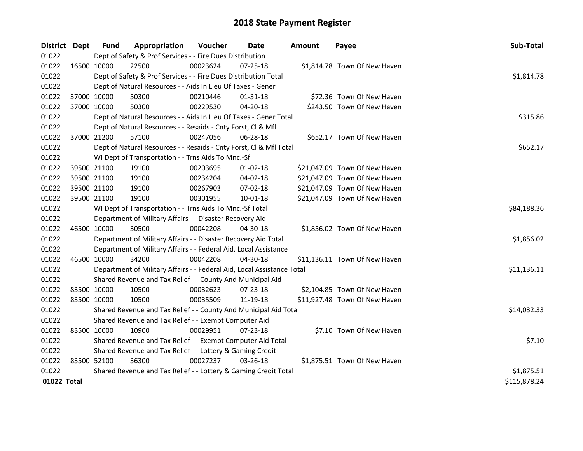| District Dept |             | <b>Fund</b>                                                     | Appropriation                                                          | Voucher     | <b>Date</b>    | <b>Amount</b> | Payee                         | Sub-Total    |  |  |  |
|---------------|-------------|-----------------------------------------------------------------|------------------------------------------------------------------------|-------------|----------------|---------------|-------------------------------|--------------|--|--|--|
| 01022         |             |                                                                 | Dept of Safety & Prof Services - - Fire Dues Distribution              |             |                |               |                               |              |  |  |  |
| 01022         | 16500 10000 |                                                                 | 22500                                                                  | 00023624    | 07-25-18       |               | \$1,814.78 Town Of New Haven  |              |  |  |  |
| 01022         |             |                                                                 | Dept of Safety & Prof Services - - Fire Dues Distribution Total        |             |                |               |                               | \$1,814.78   |  |  |  |
| 01022         |             |                                                                 | Dept of Natural Resources - - Aids In Lieu Of Taxes - Gener            |             |                |               |                               |              |  |  |  |
| 01022         | 37000 10000 |                                                                 | 50300                                                                  | 00210446    | $01 - 31 - 18$ |               | \$72.36 Town Of New Haven     |              |  |  |  |
| 01022         | 37000 10000 |                                                                 | 50300                                                                  | 00229530    | $04 - 20 - 18$ |               | \$243.50 Town Of New Haven    |              |  |  |  |
| 01022         |             |                                                                 | Dept of Natural Resources - - Aids In Lieu Of Taxes - Gener Total      |             |                |               |                               | \$315.86     |  |  |  |
| 01022         |             |                                                                 | Dept of Natural Resources - - Resaids - Cnty Forst, Cl & Mfl           |             |                |               |                               |              |  |  |  |
| 01022         | 37000 21200 |                                                                 | 57100                                                                  | 00247056    | 06-28-18       |               | \$652.17 Town Of New Haven    |              |  |  |  |
| 01022         |             |                                                                 | Dept of Natural Resources - - Resaids - Cnty Forst, Cl & Mfl Total     |             |                |               |                               |              |  |  |  |
| 01022         |             |                                                                 | WI Dept of Transportation - - Trns Aids To Mnc.-Sf                     |             |                |               |                               |              |  |  |  |
| 01022         | 39500 21100 |                                                                 | 19100                                                                  | 00203695    | $01 - 02 - 18$ |               | \$21,047.09 Town Of New Haven |              |  |  |  |
| 01022         | 39500 21100 |                                                                 | 19100                                                                  | 00234204    | 04-02-18       |               | \$21,047.09 Town Of New Haven |              |  |  |  |
| 01022         | 39500 21100 |                                                                 | 19100                                                                  | 00267903    | 07-02-18       |               | \$21,047.09 Town Of New Haven |              |  |  |  |
| 01022         | 39500 21100 |                                                                 | 19100                                                                  | 00301955    | 10-01-18       |               | \$21,047.09 Town Of New Haven |              |  |  |  |
| 01022         |             |                                                                 | WI Dept of Transportation - - Trns Aids To Mnc.-Sf Total               | \$84,188.36 |                |               |                               |              |  |  |  |
| 01022         |             |                                                                 | Department of Military Affairs - - Disaster Recovery Aid               |             |                |               |                               |              |  |  |  |
| 01022         | 46500 10000 |                                                                 | 30500                                                                  | 00042208    | 04-30-18       |               | \$1,856.02 Town Of New Haven  |              |  |  |  |
| 01022         |             |                                                                 | Department of Military Affairs - - Disaster Recovery Aid Total         |             |                |               |                               | \$1,856.02   |  |  |  |
| 01022         |             |                                                                 | Department of Military Affairs - - Federal Aid, Local Assistance       |             |                |               |                               |              |  |  |  |
| 01022         | 46500 10000 |                                                                 | 34200                                                                  | 00042208    | 04-30-18       |               | \$11,136.11 Town Of New Haven |              |  |  |  |
| 01022         |             |                                                                 | Department of Military Affairs - - Federal Aid, Local Assistance Total |             |                |               |                               | \$11,136.11  |  |  |  |
| 01022         |             |                                                                 | Shared Revenue and Tax Relief - - County And Municipal Aid             |             |                |               |                               |              |  |  |  |
| 01022         | 83500 10000 |                                                                 | 10500                                                                  | 00032623    | 07-23-18       |               | \$2,104.85 Town Of New Haven  |              |  |  |  |
| 01022         | 83500 10000 |                                                                 | 10500                                                                  | 00035509    | 11-19-18       |               | \$11,927.48 Town Of New Haven |              |  |  |  |
| 01022         |             |                                                                 | Shared Revenue and Tax Relief - - County And Municipal Aid Total       |             |                |               |                               | \$14,032.33  |  |  |  |
| 01022         |             |                                                                 | Shared Revenue and Tax Relief - - Exempt Computer Aid                  |             |                |               |                               |              |  |  |  |
| 01022         | 83500 10000 |                                                                 | 10900                                                                  | 00029951    | 07-23-18       |               | \$7.10 Town Of New Haven      |              |  |  |  |
| 01022         |             |                                                                 | Shared Revenue and Tax Relief - - Exempt Computer Aid Total            |             |                |               |                               | \$7.10       |  |  |  |
| 01022         |             | Shared Revenue and Tax Relief - - Lottery & Gaming Credit       |                                                                        |             |                |               |                               |              |  |  |  |
| 01022         | 83500 52100 |                                                                 | 36300                                                                  | 00027237    | 03-26-18       |               | \$1,875.51 Town Of New Haven  |              |  |  |  |
| 01022         |             | Shared Revenue and Tax Relief - - Lottery & Gaming Credit Total | \$1,875.51                                                             |             |                |               |                               |              |  |  |  |
| 01022 Total   |             |                                                                 |                                                                        |             |                |               |                               | \$115,878.24 |  |  |  |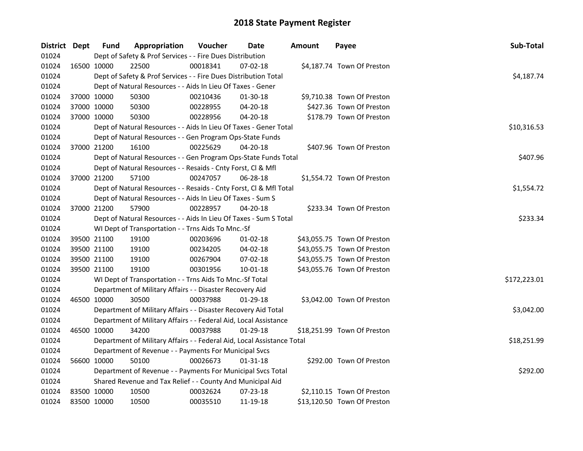| District Dept |             | <b>Fund</b> | Appropriation                                                          | Voucher  | Date           | <b>Amount</b> | Payee                       | Sub-Total    |
|---------------|-------------|-------------|------------------------------------------------------------------------|----------|----------------|---------------|-----------------------------|--------------|
| 01024         |             |             | Dept of Safety & Prof Services - - Fire Dues Distribution              |          |                |               |                             |              |
| 01024         | 16500 10000 |             | 22500                                                                  | 00018341 | 07-02-18       |               | \$4,187.74 Town Of Preston  |              |
| 01024         |             |             | Dept of Safety & Prof Services - - Fire Dues Distribution Total        |          |                |               |                             | \$4,187.74   |
| 01024         |             |             | Dept of Natural Resources - - Aids In Lieu Of Taxes - Gener            |          |                |               |                             |              |
| 01024         |             | 37000 10000 | 50300                                                                  | 00210436 | 01-30-18       |               | \$9,710.38 Town Of Preston  |              |
| 01024         | 37000 10000 |             | 50300                                                                  | 00228955 | 04-20-18       |               | \$427.36 Town Of Preston    |              |
| 01024         | 37000 10000 |             | 50300                                                                  | 00228956 | $04 - 20 - 18$ |               | \$178.79 Town Of Preston    |              |
| 01024         |             |             | Dept of Natural Resources - - Aids In Lieu Of Taxes - Gener Total      |          |                | \$10,316.53   |                             |              |
| 01024         |             |             | Dept of Natural Resources - - Gen Program Ops-State Funds              |          |                |               |                             |              |
| 01024         |             | 37000 21200 | 16100                                                                  | 00225629 | 04-20-18       |               | \$407.96 Town Of Preston    |              |
| 01024         |             |             | Dept of Natural Resources - - Gen Program Ops-State Funds Total        |          |                |               |                             | \$407.96     |
| 01024         |             |             | Dept of Natural Resources - - Resaids - Cnty Forst, Cl & Mfl           |          |                |               |                             |              |
| 01024         | 37000 21200 |             | 57100                                                                  | 00247057 | 06-28-18       |               | \$1,554.72 Town Of Preston  |              |
| 01024         |             |             | Dept of Natural Resources - - Resaids - Cnty Forst, Cl & Mfl Total     |          |                |               |                             | \$1,554.72   |
| 01024         |             |             | Dept of Natural Resources - - Aids In Lieu Of Taxes - Sum S            |          |                |               |                             |              |
| 01024         | 37000 21200 |             | 57900                                                                  | 00228957 | 04-20-18       |               | \$233.34 Town Of Preston    |              |
| 01024         |             |             | Dept of Natural Resources - - Aids In Lieu Of Taxes - Sum S Total      | \$233.34 |                |               |                             |              |
| 01024         |             |             | WI Dept of Transportation - - Trns Aids To Mnc.-Sf                     |          |                |               |                             |              |
| 01024         |             | 39500 21100 | 19100                                                                  | 00203696 | $01-02-18$     |               | \$43,055.75 Town Of Preston |              |
| 01024         | 39500 21100 |             | 19100                                                                  | 00234205 | $04 - 02 - 18$ |               | \$43,055.75 Town Of Preston |              |
| 01024         | 39500 21100 |             | 19100                                                                  | 00267904 | 07-02-18       |               | \$43,055.75 Town Of Preston |              |
| 01024         | 39500 21100 |             | 19100                                                                  | 00301956 | 10-01-18       |               | \$43,055.76 Town Of Preston |              |
| 01024         |             |             | WI Dept of Transportation - - Trns Aids To Mnc.-Sf Total               |          |                |               |                             | \$172,223.01 |
| 01024         |             |             | Department of Military Affairs - - Disaster Recovery Aid               |          |                |               |                             |              |
| 01024         | 46500 10000 |             | 30500                                                                  | 00037988 | 01-29-18       |               | \$3,042.00 Town Of Preston  |              |
| 01024         |             |             | Department of Military Affairs - - Disaster Recovery Aid Total         |          |                |               |                             | \$3,042.00   |
| 01024         |             |             | Department of Military Affairs - - Federal Aid, Local Assistance       |          |                |               |                             |              |
| 01024         | 46500 10000 |             | 34200                                                                  | 00037988 | $01-29-18$     |               | \$18,251.99 Town Of Preston |              |
| 01024         |             |             | Department of Military Affairs - - Federal Aid, Local Assistance Total |          |                |               |                             | \$18,251.99  |
| 01024         |             |             | Department of Revenue - - Payments For Municipal Svcs                  |          |                |               |                             |              |
| 01024         |             | 56600 10000 | 50100                                                                  | 00026673 | $01 - 31 - 18$ |               | \$292.00 Town Of Preston    |              |
| 01024         |             |             | Department of Revenue - - Payments For Municipal Svcs Total            |          |                |               |                             | \$292.00     |
| 01024         |             |             | Shared Revenue and Tax Relief - - County And Municipal Aid             |          |                |               |                             |              |
| 01024         | 83500 10000 |             | 10500                                                                  | 00032624 | 07-23-18       |               | \$2,110.15 Town Of Preston  |              |
| 01024         | 83500 10000 |             | 10500                                                                  | 00035510 | 11-19-18       |               | \$13,120.50 Town Of Preston |              |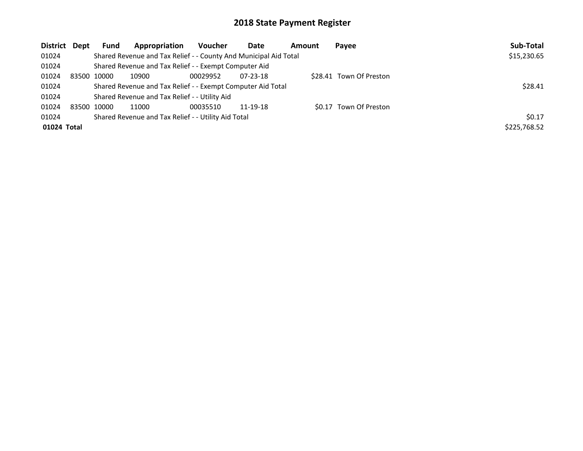| <b>District</b> | Dept | <b>Fund</b> | Appropriation                                                    | <b>Voucher</b> | Date           | Amount | Payee                   | Sub-Total    |
|-----------------|------|-------------|------------------------------------------------------------------|----------------|----------------|--------|-------------------------|--------------|
| 01024           |      |             | Shared Revenue and Tax Relief - - County And Municipal Aid Total |                |                |        |                         | \$15,230.65  |
| 01024           |      |             | Shared Revenue and Tax Relief - - Exempt Computer Aid            |                |                |        |                         |              |
| 01024           |      | 83500 10000 | 10900                                                            | 00029952       | $07 - 23 - 18$ |        | \$28.41 Town Of Preston |              |
| 01024           |      |             | Shared Revenue and Tax Relief - - Exempt Computer Aid Total      | \$28.41        |                |        |                         |              |
| 01024           |      |             | Shared Revenue and Tax Relief - - Utility Aid                    |                |                |        |                         |              |
| 01024           |      | 83500 10000 | 11000                                                            | 00035510       | 11-19-18       |        | \$0.17 Town Of Preston  |              |
| 01024           |      |             | Shared Revenue and Tax Relief - - Utility Aid Total              |                |                |        |                         | 50.17        |
| 01024 Total     |      |             |                                                                  |                |                |        |                         | \$225,768.52 |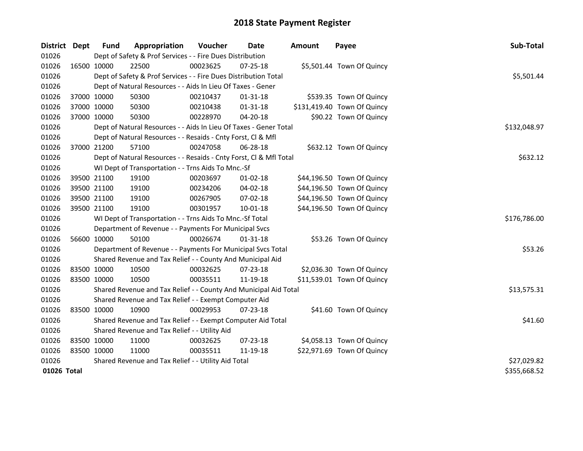| District Dept |             | <b>Fund</b> | Appropriation                                                      | Voucher      | Date           | <b>Amount</b> | Payee                       | Sub-Total    |
|---------------|-------------|-------------|--------------------------------------------------------------------|--------------|----------------|---------------|-----------------------------|--------------|
| 01026         |             |             | Dept of Safety & Prof Services - - Fire Dues Distribution          |              |                |               |                             |              |
| 01026         |             | 16500 10000 | 22500                                                              | 00023625     | 07-25-18       |               | \$5,501.44 Town Of Quincy   |              |
| 01026         |             |             | Dept of Safety & Prof Services - - Fire Dues Distribution Total    |              |                |               |                             | \$5,501.44   |
| 01026         |             |             | Dept of Natural Resources - - Aids In Lieu Of Taxes - Gener        |              |                |               |                             |              |
| 01026         |             | 37000 10000 | 50300                                                              | 00210437     | 01-31-18       |               | \$539.35 Town Of Quincy     |              |
| 01026         | 37000 10000 |             | 50300                                                              | 00210438     | $01 - 31 - 18$ |               | \$131,419.40 Town Of Quincy |              |
| 01026         |             | 37000 10000 | 50300                                                              | 00228970     | 04-20-18       |               | \$90.22 Town Of Quincy      |              |
| 01026         |             |             | Dept of Natural Resources - - Aids In Lieu Of Taxes - Gener Total  | \$132,048.97 |                |               |                             |              |
| 01026         |             |             | Dept of Natural Resources - - Resaids - Cnty Forst, Cl & Mfl       |              |                |               |                             |              |
| 01026         |             | 37000 21200 | 57100                                                              | 00247058     | 06-28-18       |               | \$632.12 Town Of Quincy     |              |
| 01026         |             |             | Dept of Natural Resources - - Resaids - Cnty Forst, Cl & Mfl Total |              |                |               |                             | \$632.12     |
| 01026         |             |             | WI Dept of Transportation - - Trns Aids To Mnc.-Sf                 |              |                |               |                             |              |
| 01026         | 39500 21100 |             | 19100                                                              | 00203697     | $01 - 02 - 18$ |               | \$44,196.50 Town Of Quincy  |              |
| 01026         | 39500 21100 |             | 19100                                                              | 00234206     | 04-02-18       |               | \$44,196.50 Town Of Quincy  |              |
| 01026         | 39500 21100 |             | 19100                                                              | 00267905     | 07-02-18       |               | \$44,196.50 Town Of Quincy  |              |
| 01026         |             | 39500 21100 | 19100                                                              | 00301957     | $10 - 01 - 18$ |               | \$44,196.50 Town Of Quincy  |              |
| 01026         |             |             | WI Dept of Transportation - - Trns Aids To Mnc.-Sf Total           |              |                |               |                             | \$176,786.00 |
| 01026         |             |             | Department of Revenue - - Payments For Municipal Svcs              |              |                |               |                             |              |
| 01026         |             | 56600 10000 | 50100                                                              | 00026674     | $01 - 31 - 18$ |               | \$53.26 Town Of Quincy      |              |
| 01026         |             |             | Department of Revenue - - Payments For Municipal Svcs Total        |              |                |               |                             | \$53.26      |
| 01026         |             |             | Shared Revenue and Tax Relief - - County And Municipal Aid         |              |                |               |                             |              |
| 01026         | 83500 10000 |             | 10500                                                              | 00032625     | 07-23-18       |               | \$2,036.30 Town Of Quincy   |              |
| 01026         | 83500 10000 |             | 10500                                                              | 00035511     | 11-19-18       |               | \$11,539.01 Town Of Quincy  |              |
| 01026         |             |             | Shared Revenue and Tax Relief - - County And Municipal Aid Total   |              |                |               |                             | \$13,575.31  |
| 01026         |             |             | Shared Revenue and Tax Relief - - Exempt Computer Aid              |              |                |               |                             |              |
| 01026         | 83500 10000 |             | 10900                                                              | 00029953     | 07-23-18       |               | \$41.60 Town Of Quincy      |              |
| 01026         |             |             | Shared Revenue and Tax Relief - - Exempt Computer Aid Total        |              |                |               |                             | \$41.60      |
| 01026         |             |             | Shared Revenue and Tax Relief - - Utility Aid                      |              |                |               |                             |              |
| 01026         | 83500 10000 |             | 11000                                                              | 00032625     | 07-23-18       |               | \$4,058.13 Town Of Quincy   |              |
| 01026         | 83500 10000 |             | 11000                                                              | 00035511     | 11-19-18       |               | \$22,971.69 Town Of Quincy  |              |
| 01026         |             |             | Shared Revenue and Tax Relief - - Utility Aid Total                | \$27,029.82  |                |               |                             |              |
| 01026 Total   |             |             |                                                                    |              |                |               |                             | \$355,668.52 |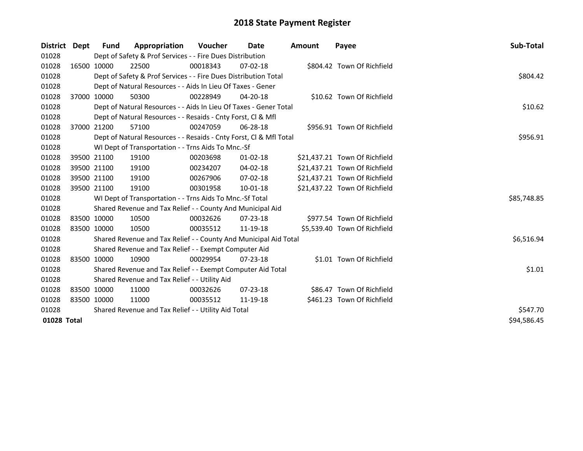| District Dept |  | <b>Fund</b> | Appropriation                                                      | Voucher  | Date           | <b>Amount</b> | Payee                         | Sub-Total   |
|---------------|--|-------------|--------------------------------------------------------------------|----------|----------------|---------------|-------------------------------|-------------|
| 01028         |  |             | Dept of Safety & Prof Services - - Fire Dues Distribution          |          |                |               |                               |             |
| 01028         |  | 16500 10000 | 22500                                                              | 00018343 | $07 - 02 - 18$ |               | \$804.42 Town Of Richfield    |             |
| 01028         |  |             | Dept of Safety & Prof Services - - Fire Dues Distribution Total    |          |                |               |                               | \$804.42    |
| 01028         |  |             | Dept of Natural Resources - - Aids In Lieu Of Taxes - Gener        |          |                |               |                               |             |
| 01028         |  | 37000 10000 | 50300                                                              | 00228949 | 04-20-18       |               | \$10.62 Town Of Richfield     |             |
| 01028         |  |             | Dept of Natural Resources - - Aids In Lieu Of Taxes - Gener Total  | \$10.62  |                |               |                               |             |
| 01028         |  |             | Dept of Natural Resources - - Resaids - Cnty Forst, Cl & Mfl       |          |                |               |                               |             |
| 01028         |  | 37000 21200 | 57100                                                              | 00247059 | 06-28-18       |               | \$956.91 Town Of Richfield    |             |
| 01028         |  |             | Dept of Natural Resources - - Resaids - Cnty Forst, Cl & Mfl Total |          |                |               |                               | \$956.91    |
| 01028         |  |             | WI Dept of Transportation - - Trns Aids To Mnc.-Sf                 |          |                |               |                               |             |
| 01028         |  | 39500 21100 | 19100                                                              | 00203698 | $01 - 02 - 18$ |               | \$21,437.21 Town Of Richfield |             |
| 01028         |  | 39500 21100 | 19100                                                              | 00234207 | $04 - 02 - 18$ |               | \$21,437.21 Town Of Richfield |             |
| 01028         |  | 39500 21100 | 19100                                                              | 00267906 | $07 - 02 - 18$ |               | \$21,437.21 Town Of Richfield |             |
| 01028         |  | 39500 21100 | 19100                                                              | 00301958 | $10-01-18$     |               | \$21,437.22 Town Of Richfield |             |
| 01028         |  |             | WI Dept of Transportation - - Trns Aids To Mnc.-Sf Total           |          |                |               |                               | \$85,748.85 |
| 01028         |  |             | Shared Revenue and Tax Relief - - County And Municipal Aid         |          |                |               |                               |             |
| 01028         |  | 83500 10000 | 10500                                                              | 00032626 | 07-23-18       |               | \$977.54 Town Of Richfield    |             |
| 01028         |  | 83500 10000 | 10500                                                              | 00035512 | 11-19-18       |               | \$5,539.40 Town Of Richfield  |             |
| 01028         |  |             | Shared Revenue and Tax Relief - - County And Municipal Aid Total   |          |                |               |                               | \$6,516.94  |
| 01028         |  |             | Shared Revenue and Tax Relief - - Exempt Computer Aid              |          |                |               |                               |             |
| 01028         |  | 83500 10000 | 10900                                                              | 00029954 | $07 - 23 - 18$ |               | \$1.01 Town Of Richfield      |             |
| 01028         |  |             | Shared Revenue and Tax Relief - - Exempt Computer Aid Total        |          |                |               |                               | \$1.01      |
| 01028         |  |             | Shared Revenue and Tax Relief - - Utility Aid                      |          |                |               |                               |             |
| 01028         |  | 83500 10000 | 11000                                                              | 00032626 | $07 - 23 - 18$ |               | \$86.47 Town Of Richfield     |             |
| 01028         |  | 83500 10000 | 11000                                                              | 00035512 | 11-19-18       |               | \$461.23 Town Of Richfield    |             |
| 01028         |  |             | Shared Revenue and Tax Relief - - Utility Aid Total                | \$547.70 |                |               |                               |             |
| 01028 Total   |  |             |                                                                    |          |                |               |                               | \$94,586.45 |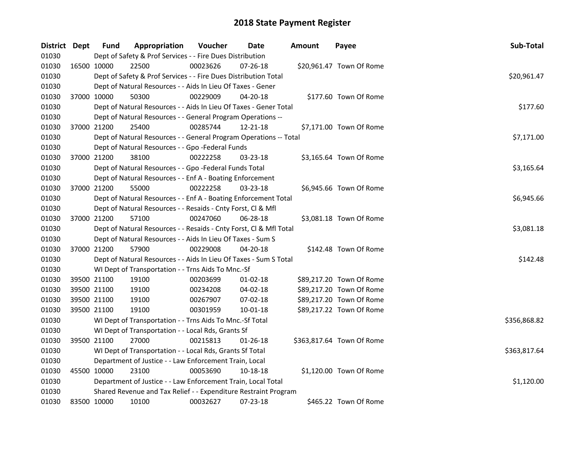| District Dept |             | <b>Fund</b> | Appropriation                                                      | Voucher  | Date           | <b>Amount</b> | Payee                     | Sub-Total    |
|---------------|-------------|-------------|--------------------------------------------------------------------|----------|----------------|---------------|---------------------------|--------------|
| 01030         |             |             | Dept of Safety & Prof Services - - Fire Dues Distribution          |          |                |               |                           |              |
| 01030         |             | 16500 10000 | 22500                                                              | 00023626 | $07 - 26 - 18$ |               | \$20,961.47 Town Of Rome  |              |
| 01030         |             |             | Dept of Safety & Prof Services - - Fire Dues Distribution Total    |          |                |               |                           | \$20,961.47  |
| 01030         |             |             | Dept of Natural Resources - - Aids In Lieu Of Taxes - Gener        |          |                |               |                           |              |
| 01030         |             | 37000 10000 | 50300                                                              | 00229009 | 04-20-18       |               | \$177.60 Town Of Rome     |              |
| 01030         |             |             | Dept of Natural Resources - - Aids In Lieu Of Taxes - Gener Total  |          |                |               |                           | \$177.60     |
| 01030         |             |             | Dept of Natural Resources - - General Program Operations --        |          |                |               |                           |              |
| 01030         |             | 37000 21200 | 25400                                                              | 00285744 | 12-21-18       |               | \$7,171.00 Town Of Rome   |              |
| 01030         |             |             | Dept of Natural Resources - - General Program Operations -- Total  |          |                |               |                           | \$7,171.00   |
| 01030         |             |             | Dept of Natural Resources - - Gpo -Federal Funds                   |          |                |               |                           |              |
| 01030         |             | 37000 21200 | 38100                                                              | 00222258 | $03 - 23 - 18$ |               | \$3,165.64 Town Of Rome   |              |
| 01030         |             |             | Dept of Natural Resources - - Gpo -Federal Funds Total             |          |                |               |                           | \$3,165.64   |
| 01030         |             |             | Dept of Natural Resources - - Enf A - Boating Enforcement          |          |                |               |                           |              |
| 01030         |             | 37000 21200 | 55000                                                              | 00222258 | $03 - 23 - 18$ |               | \$6,945.66 Town Of Rome   |              |
| 01030         |             |             | Dept of Natural Resources - - Enf A - Boating Enforcement Total    |          |                |               |                           | \$6,945.66   |
| 01030         |             |             | Dept of Natural Resources - - Resaids - Cnty Forst, Cl & Mfl       |          |                |               |                           |              |
| 01030         |             | 37000 21200 | 57100                                                              | 00247060 | 06-28-18       |               | \$3,081.18 Town Of Rome   |              |
| 01030         |             |             | Dept of Natural Resources - - Resaids - Cnty Forst, Cl & Mfl Total |          |                |               |                           | \$3,081.18   |
| 01030         |             |             | Dept of Natural Resources - - Aids In Lieu Of Taxes - Sum S        |          |                |               |                           |              |
| 01030         |             | 37000 21200 | 57900                                                              | 00229008 | $04 - 20 - 18$ |               | \$142.48 Town Of Rome     |              |
| 01030         |             |             | Dept of Natural Resources - - Aids In Lieu Of Taxes - Sum S Total  |          |                |               |                           | \$142.48     |
| 01030         |             |             | WI Dept of Transportation - - Trns Aids To Mnc.-Sf                 |          |                |               |                           |              |
| 01030         | 39500 21100 |             | 19100                                                              | 00203699 | $01-02-18$     |               | \$89,217.20 Town Of Rome  |              |
| 01030         | 39500 21100 |             | 19100                                                              | 00234208 | 04-02-18       |               | \$89,217.20 Town Of Rome  |              |
| 01030         | 39500 21100 |             | 19100                                                              | 00267907 | 07-02-18       |               | \$89,217.20 Town Of Rome  |              |
| 01030         |             | 39500 21100 | 19100                                                              | 00301959 | 10-01-18       |               | \$89,217.22 Town Of Rome  |              |
| 01030         |             |             | WI Dept of Transportation - - Trns Aids To Mnc.-Sf Total           |          |                |               |                           | \$356,868.82 |
| 01030         |             |             | WI Dept of Transportation - - Local Rds, Grants Sf                 |          |                |               |                           |              |
| 01030         |             | 39500 21100 | 27000                                                              | 00215813 | $01 - 26 - 18$ |               | \$363,817.64 Town Of Rome |              |
| 01030         |             |             | WI Dept of Transportation - - Local Rds, Grants Sf Total           |          |                |               |                           | \$363,817.64 |
| 01030         |             |             | Department of Justice - - Law Enforcement Train, Local             |          |                |               |                           |              |
| 01030         |             | 45500 10000 | 23100                                                              | 00053690 | 10-18-18       |               | \$1,120.00 Town Of Rome   |              |
| 01030         |             |             | Department of Justice - - Law Enforcement Train, Local Total       |          |                |               |                           | \$1,120.00   |
| 01030         |             |             | Shared Revenue and Tax Relief - - Expenditure Restraint Program    |          |                |               |                           |              |
| 01030         |             | 83500 10000 | 10100                                                              | 00032627 | 07-23-18       |               | \$465.22 Town Of Rome     |              |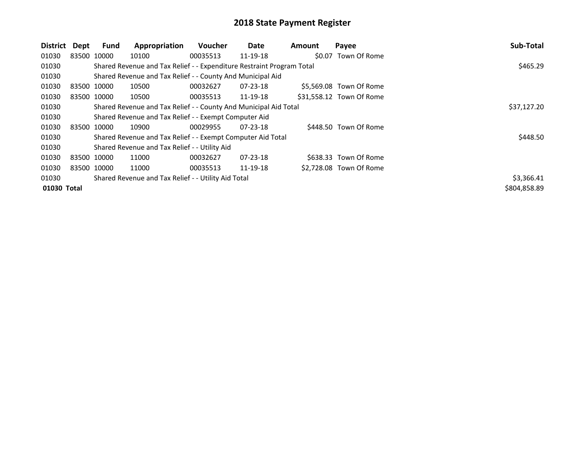| District    | Dept | Fund        | Appropriation                                                         | <b>Voucher</b> | Date           | Amount | Payee                    | Sub-Total    |
|-------------|------|-------------|-----------------------------------------------------------------------|----------------|----------------|--------|--------------------------|--------------|
| 01030       |      | 83500 10000 | 10100                                                                 | 00035513       | 11-19-18       |        | \$0.07 Town Of Rome      |              |
| 01030       |      |             | Shared Revenue and Tax Relief - - Expenditure Restraint Program Total |                |                |        |                          | \$465.29     |
| 01030       |      |             | Shared Revenue and Tax Relief - - County And Municipal Aid            |                |                |        |                          |              |
| 01030       |      | 83500 10000 | 10500                                                                 | 00032627       | $07 - 23 - 18$ |        | \$5,569.08 Town Of Rome  |              |
| 01030       |      | 83500 10000 | 10500                                                                 | 00035513       | 11-19-18       |        | \$31,558.12 Town Of Rome |              |
| 01030       |      |             | Shared Revenue and Tax Relief - - County And Municipal Aid Total      | \$37,127.20    |                |        |                          |              |
| 01030       |      |             | Shared Revenue and Tax Relief - - Exempt Computer Aid                 |                |                |        |                          |              |
| 01030       |      | 83500 10000 | 10900                                                                 | 00029955       | $07 - 23 - 18$ |        | \$448.50 Town Of Rome    |              |
| 01030       |      |             | Shared Revenue and Tax Relief - - Exempt Computer Aid Total           |                |                |        |                          | \$448.50     |
| 01030       |      |             | Shared Revenue and Tax Relief - - Utility Aid                         |                |                |        |                          |              |
| 01030       |      | 83500 10000 | 11000                                                                 | 00032627       | $07 - 23 - 18$ |        | \$638.33 Town Of Rome    |              |
| 01030       |      | 83500 10000 | 11000                                                                 | 00035513       | 11-19-18       |        | \$2,728.08 Town Of Rome  |              |
| 01030       |      |             | Shared Revenue and Tax Relief - - Utility Aid Total                   |                |                |        |                          | \$3,366.41   |
| 01030 Total |      |             |                                                                       |                |                |        |                          | \$804,858.89 |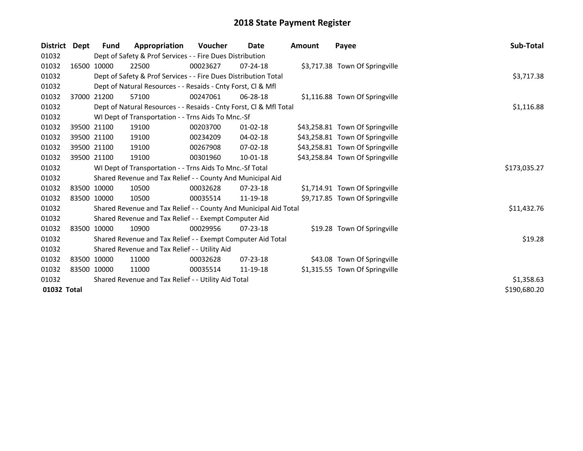| <b>District</b> | Dept | <b>Fund</b> | Appropriation                                                      | Voucher      | Date           | Amount | Payee                           | Sub-Total    |
|-----------------|------|-------------|--------------------------------------------------------------------|--------------|----------------|--------|---------------------------------|--------------|
| 01032           |      |             | Dept of Safety & Prof Services - - Fire Dues Distribution          |              |                |        |                                 |              |
| 01032           |      | 16500 10000 | 22500                                                              | 00023627     | $07 - 24 - 18$ |        | \$3,717.38 Town Of Springville  |              |
| 01032           |      |             | Dept of Safety & Prof Services - - Fire Dues Distribution Total    |              |                |        |                                 | \$3,717.38   |
| 01032           |      |             | Dept of Natural Resources - - Resaids - Cnty Forst, CI & Mfl       |              |                |        |                                 |              |
| 01032           |      | 37000 21200 | 57100                                                              | 00247061     | $06 - 28 - 18$ |        | \$1,116.88 Town Of Springville  |              |
| 01032           |      |             | Dept of Natural Resources - - Resaids - Cnty Forst, CI & Mfl Total |              | \$1,116.88     |        |                                 |              |
| 01032           |      |             | WI Dept of Transportation - - Trns Aids To Mnc.-Sf                 |              |                |        |                                 |              |
| 01032           |      | 39500 21100 | 19100                                                              | 00203700     | 01-02-18       |        | \$43,258.81 Town Of Springville |              |
| 01032           |      | 39500 21100 | 19100                                                              | 00234209     | 04-02-18       |        | \$43,258.81 Town Of Springville |              |
| 01032           |      | 39500 21100 | 19100                                                              | 00267908     | 07-02-18       |        | \$43,258.81 Town Of Springville |              |
| 01032           |      | 39500 21100 | 19100                                                              | 00301960     | 10-01-18       |        | \$43,258.84 Town Of Springville |              |
| 01032           |      |             | WI Dept of Transportation - - Trns Aids To Mnc.-Sf Total           | \$173,035.27 |                |        |                                 |              |
| 01032           |      |             | Shared Revenue and Tax Relief - - County And Municipal Aid         |              |                |        |                                 |              |
| 01032           |      | 83500 10000 | 10500                                                              | 00032628     | 07-23-18       |        | \$1,714.91 Town Of Springville  |              |
| 01032           |      | 83500 10000 | 10500                                                              | 00035514     | 11-19-18       |        | \$9,717.85 Town Of Springville  |              |
| 01032           |      |             | Shared Revenue and Tax Relief - - County And Municipal Aid Total   |              |                |        |                                 | \$11,432.76  |
| 01032           |      |             | Shared Revenue and Tax Relief - - Exempt Computer Aid              |              |                |        |                                 |              |
| 01032           |      | 83500 10000 | 10900                                                              | 00029956     | $07 - 23 - 18$ |        | \$19.28 Town Of Springville     |              |
| 01032           |      |             | Shared Revenue and Tax Relief - - Exempt Computer Aid Total        |              |                |        |                                 | \$19.28      |
| 01032           |      |             | Shared Revenue and Tax Relief - - Utility Aid                      |              |                |        |                                 |              |
| 01032           |      | 83500 10000 | 11000                                                              | 00032628     | 07-23-18       |        | \$43.08 Town Of Springville     |              |
| 01032           |      | 83500 10000 | 11000                                                              | 00035514     | 11-19-18       |        | \$1,315.55 Town Of Springville  |              |
| 01032           |      |             | Shared Revenue and Tax Relief - - Utility Aid Total                |              |                |        |                                 | \$1,358.63   |
| 01032 Total     |      |             |                                                                    |              |                |        |                                 | \$190,680.20 |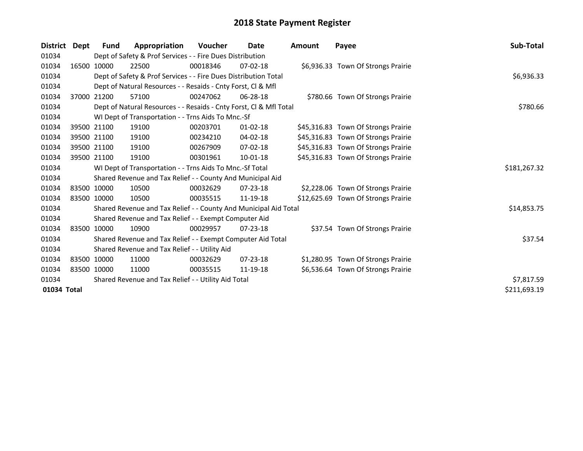| <b>District</b> | Dept | Fund        | Appropriation                                                      | Voucher  | Date           | Amount | Payee                               | Sub-Total    |
|-----------------|------|-------------|--------------------------------------------------------------------|----------|----------------|--------|-------------------------------------|--------------|
| 01034           |      |             | Dept of Safety & Prof Services - - Fire Dues Distribution          |          |                |        |                                     |              |
| 01034           |      | 16500 10000 | 22500                                                              | 00018346 | $07 - 02 - 18$ |        | \$6,936.33 Town Of Strongs Prairie  |              |
| 01034           |      |             | Dept of Safety & Prof Services - - Fire Dues Distribution Total    |          |                |        |                                     | \$6,936.33   |
| 01034           |      |             | Dept of Natural Resources - - Resaids - Cnty Forst, Cl & Mfl       |          |                |        |                                     |              |
| 01034           |      | 37000 21200 | 57100                                                              | 00247062 | $06 - 28 - 18$ |        | \$780.66 Town Of Strongs Prairie    |              |
| 01034           |      |             | Dept of Natural Resources - - Resaids - Cnty Forst, CI & Mfl Total | \$780.66 |                |        |                                     |              |
| 01034           |      |             | WI Dept of Transportation - - Trns Aids To Mnc.-Sf                 |          |                |        |                                     |              |
| 01034           |      | 39500 21100 | 19100                                                              | 00203701 | $01 - 02 - 18$ |        | \$45,316.83 Town Of Strongs Prairie |              |
| 01034           |      | 39500 21100 | 19100                                                              | 00234210 | 04-02-18       |        | \$45,316.83 Town Of Strongs Prairie |              |
| 01034           |      | 39500 21100 | 19100                                                              | 00267909 | $07 - 02 - 18$ |        | \$45,316.83 Town Of Strongs Prairie |              |
| 01034           |      | 39500 21100 | 19100                                                              | 00301961 | 10-01-18       |        | \$45,316.83 Town Of Strongs Prairie |              |
| 01034           |      |             | WI Dept of Transportation - - Trns Aids To Mnc.-Sf Total           |          |                |        |                                     | \$181,267.32 |
| 01034           |      |             | Shared Revenue and Tax Relief - - County And Municipal Aid         |          |                |        |                                     |              |
| 01034           |      | 83500 10000 | 10500                                                              | 00032629 | $07 - 23 - 18$ |        | \$2,228.06 Town Of Strongs Prairie  |              |
| 01034           |      | 83500 10000 | 10500                                                              | 00035515 | 11-19-18       |        | \$12,625.69 Town Of Strongs Prairie |              |
| 01034           |      |             | Shared Revenue and Tax Relief - - County And Municipal Aid Total   |          |                |        |                                     | \$14,853.75  |
| 01034           |      |             | Shared Revenue and Tax Relief - - Exempt Computer Aid              |          |                |        |                                     |              |
| 01034           |      | 83500 10000 | 10900                                                              | 00029957 | $07 - 23 - 18$ |        | \$37.54 Town Of Strongs Prairie     |              |
| 01034           |      |             | Shared Revenue and Tax Relief - - Exempt Computer Aid Total        |          |                |        |                                     | \$37.54      |
| 01034           |      |             | Shared Revenue and Tax Relief - - Utility Aid                      |          |                |        |                                     |              |
| 01034           |      | 83500 10000 | 11000                                                              | 00032629 | $07 - 23 - 18$ |        | \$1,280.95 Town Of Strongs Prairie  |              |
| 01034           |      | 83500 10000 | 11000                                                              | 00035515 | 11-19-18       |        | \$6,536.64 Town Of Strongs Prairie  |              |
| 01034           |      |             | Shared Revenue and Tax Relief - - Utility Aid Total                |          |                |        |                                     | \$7,817.59   |
| 01034 Total     |      |             |                                                                    |          |                |        |                                     | \$211,693.19 |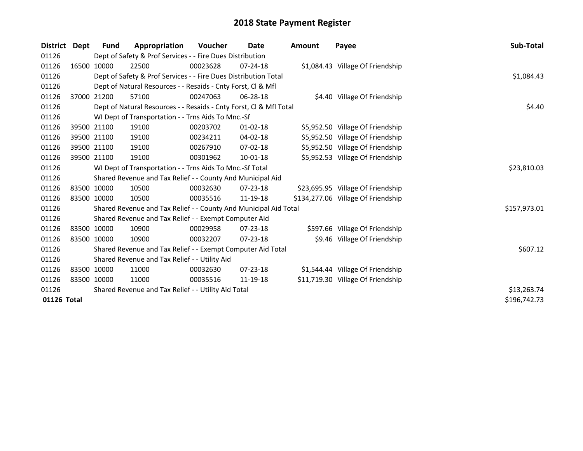| <b>District</b> | Dept         | Fund        | Appropriation                                                      | Voucher     | Date           | Amount | Payee                              | Sub-Total    |
|-----------------|--------------|-------------|--------------------------------------------------------------------|-------------|----------------|--------|------------------------------------|--------------|
| 01126           |              |             | Dept of Safety & Prof Services - - Fire Dues Distribution          |             |                |        |                                    |              |
| 01126           |              | 16500 10000 | 22500                                                              | 00023628    | $07 - 24 - 18$ |        | \$1,084.43 Village Of Friendship   |              |
| 01126           |              |             | Dept of Safety & Prof Services - - Fire Dues Distribution Total    |             |                |        |                                    | \$1,084.43   |
| 01126           |              |             | Dept of Natural Resources - - Resaids - Cnty Forst, Cl & Mfl       |             |                |        |                                    |              |
| 01126           |              | 37000 21200 | 57100                                                              | 00247063    | $06 - 28 - 18$ |        | \$4.40 Village Of Friendship       |              |
| 01126           |              |             | Dept of Natural Resources - - Resaids - Cnty Forst, CI & Mfl Total |             |                |        |                                    | \$4.40       |
| 01126           |              |             | WI Dept of Transportation - - Trns Aids To Mnc.-Sf                 |             |                |        |                                    |              |
| 01126           |              | 39500 21100 | 19100                                                              | 00203702    | $01 - 02 - 18$ |        | \$5,952.50 Village Of Friendship   |              |
| 01126           |              | 39500 21100 | 19100                                                              | 00234211    | 04-02-18       |        | \$5,952.50 Village Of Friendship   |              |
| 01126           |              | 39500 21100 | 19100                                                              | 00267910    | 07-02-18       |        | \$5,952.50 Village Of Friendship   |              |
| 01126           |              | 39500 21100 | 19100                                                              | 00301962    | $10 - 01 - 18$ |        | \$5,952.53 Village Of Friendship   |              |
| 01126           |              |             | WI Dept of Transportation - - Trns Aids To Mnc.-Sf Total           | \$23,810.03 |                |        |                                    |              |
| 01126           |              |             | Shared Revenue and Tax Relief - - County And Municipal Aid         |             |                |        |                                    |              |
| 01126           |              | 83500 10000 | 10500                                                              | 00032630    | $07 - 23 - 18$ |        | \$23,695.95 Village Of Friendship  |              |
| 01126           |              | 83500 10000 | 10500                                                              | 00035516    | 11-19-18       |        | \$134,277.06 Village Of Friendship |              |
| 01126           |              |             | Shared Revenue and Tax Relief - - County And Municipal Aid Total   |             |                |        |                                    | \$157,973.01 |
| 01126           |              |             | Shared Revenue and Tax Relief - - Exempt Computer Aid              |             |                |        |                                    |              |
| 01126           |              | 83500 10000 | 10900                                                              | 00029958    | $07 - 23 - 18$ |        | \$597.66 Village Of Friendship     |              |
| 01126           |              | 83500 10000 | 10900                                                              | 00032207    | 07-23-18       |        | \$9.46 Village Of Friendship       |              |
| 01126           |              |             | Shared Revenue and Tax Relief - - Exempt Computer Aid Total        |             |                |        |                                    | \$607.12     |
| 01126           |              |             | Shared Revenue and Tax Relief - - Utility Aid                      |             |                |        |                                    |              |
| 01126           |              | 83500 10000 | 11000                                                              | 00032630    | $07 - 23 - 18$ |        | \$1,544.44 Village Of Friendship   |              |
| 01126           |              | 83500 10000 | 11000                                                              | 00035516    | 11-19-18       |        | \$11,719.30 Village Of Friendship  |              |
| 01126           |              |             | Shared Revenue and Tax Relief - - Utility Aid Total                |             |                |        |                                    | \$13,263.74  |
| 01126 Total     | \$196,742.73 |             |                                                                    |             |                |        |                                    |              |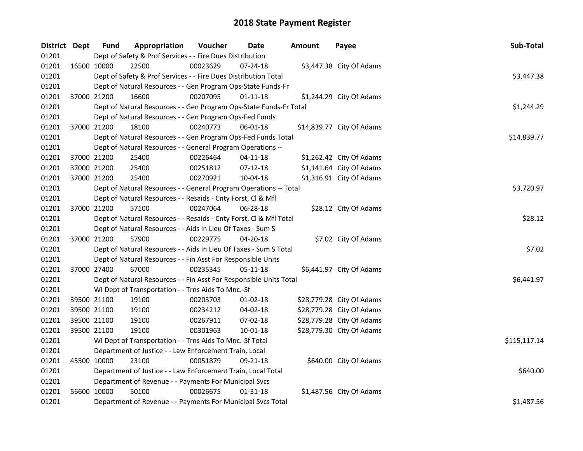| District Dept |             | <b>Fund</b> | Appropriation                                                      | Voucher  | <b>Date</b>    | <b>Amount</b> | Payee                     | Sub-Total    |
|---------------|-------------|-------------|--------------------------------------------------------------------|----------|----------------|---------------|---------------------------|--------------|
| 01201         |             |             | Dept of Safety & Prof Services - - Fire Dues Distribution          |          |                |               |                           |              |
| 01201         | 16500 10000 |             | 22500                                                              | 00023629 | 07-24-18       |               | \$3,447.38 City Of Adams  |              |
| 01201         |             |             | Dept of Safety & Prof Services - - Fire Dues Distribution Total    |          |                |               |                           | \$3,447.38   |
| 01201         |             |             | Dept of Natural Resources - - Gen Program Ops-State Funds-Fr       |          |                |               |                           |              |
| 01201         |             | 37000 21200 | 16600                                                              | 00207095 | $01 - 11 - 18$ |               | \$1,244.29 City Of Adams  |              |
| 01201         |             |             | Dept of Natural Resources - - Gen Program Ops-State Funds-Fr Total |          |                |               |                           | \$1,244.29   |
| 01201         |             |             | Dept of Natural Resources - - Gen Program Ops-Fed Funds            |          |                |               |                           |              |
| 01201         |             | 37000 21200 | 18100                                                              | 00240773 | $06 - 01 - 18$ |               | \$14,839.77 City Of Adams |              |
| 01201         |             |             | Dept of Natural Resources - - Gen Program Ops-Fed Funds Total      |          |                |               |                           | \$14,839.77  |
| 01201         |             |             | Dept of Natural Resources - - General Program Operations --        |          |                |               |                           |              |
| 01201         |             | 37000 21200 | 25400                                                              | 00226464 | $04 - 11 - 18$ |               | \$1,262.42 City Of Adams  |              |
| 01201         |             | 37000 21200 | 25400                                                              | 00251812 | $07-12-18$     |               | \$1,141.64 City Of Adams  |              |
| 01201         | 37000 21200 |             | 25400                                                              | 00270921 | 10-04-18       |               | \$1,316.91 City Of Adams  |              |
| 01201         |             |             | Dept of Natural Resources - - General Program Operations -- Total  |          |                |               |                           | \$3,720.97   |
| 01201         |             |             | Dept of Natural Resources - - Resaids - Cnty Forst, Cl & Mfl       |          |                |               |                           |              |
| 01201         | 37000 21200 |             | 57100                                                              | 00247064 | 06-28-18       |               | \$28.12 City Of Adams     |              |
| 01201         |             |             | Dept of Natural Resources - - Resaids - Cnty Forst, Cl & Mfl Total | \$28.12  |                |               |                           |              |
| 01201         |             |             | Dept of Natural Resources - - Aids In Lieu Of Taxes - Sum S        |          |                |               |                           |              |
| 01201         | 37000 21200 |             | 57900                                                              | 00229775 | 04-20-18       |               | \$7.02 City Of Adams      |              |
| 01201         |             |             | Dept of Natural Resources - - Aids In Lieu Of Taxes - Sum S Total  |          |                |               |                           | \$7.02       |
| 01201         |             |             | Dept of Natural Resources - - Fin Asst For Responsible Units       |          |                |               |                           |              |
| 01201         | 37000 27400 |             | 67000                                                              | 00235345 | 05-11-18       |               | \$6,441.97 City Of Adams  |              |
| 01201         |             |             | Dept of Natural Resources - - Fin Asst For Responsible Units Total |          |                |               |                           | \$6,441.97   |
| 01201         |             |             | WI Dept of Transportation - - Trns Aids To Mnc.-Sf                 |          |                |               |                           |              |
| 01201         |             | 39500 21100 | 19100                                                              | 00203703 | 01-02-18       |               | \$28,779.28 City Of Adams |              |
| 01201         |             | 39500 21100 | 19100                                                              | 00234212 | 04-02-18       |               | \$28,779.28 City Of Adams |              |
| 01201         |             | 39500 21100 | 19100                                                              | 00267911 | 07-02-18       |               | \$28,779.28 City Of Adams |              |
| 01201         | 39500 21100 |             | 19100                                                              | 00301963 | $10 - 01 - 18$ |               | \$28,779.30 City Of Adams |              |
| 01201         |             |             | WI Dept of Transportation - - Trns Aids To Mnc.-Sf Total           |          |                |               |                           | \$115,117.14 |
| 01201         |             |             | Department of Justice - - Law Enforcement Train, Local             |          |                |               |                           |              |
| 01201         | 45500 10000 |             | 23100                                                              | 00051879 | 09-21-18       |               | \$640.00 City Of Adams    |              |
| 01201         |             |             | Department of Justice - - Law Enforcement Train, Local Total       | \$640.00 |                |               |                           |              |
| 01201         |             |             | Department of Revenue - - Payments For Municipal Svcs              |          |                |               |                           |              |
| 01201         | 56600 10000 |             | 50100                                                              | 00026675 | $01 - 31 - 18$ |               | \$1,487.56 City Of Adams  |              |
| 01201         |             |             | Department of Revenue - - Payments For Municipal Svcs Total        |          |                |               |                           | \$1,487.56   |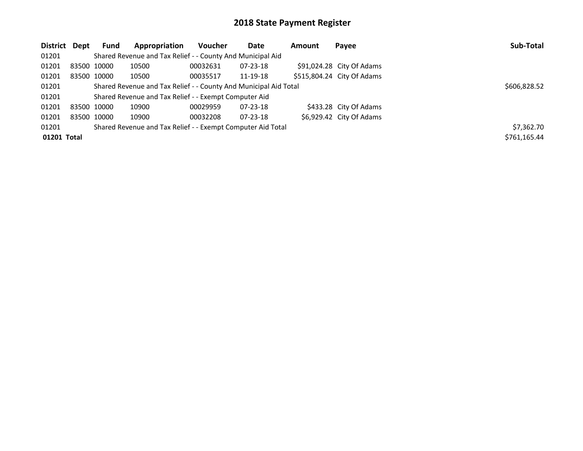| District Dept | <b>Fund</b>                                                      | Appropriation                                               | Voucher  | Date           | Amount | Payee                      | Sub-Total    |
|---------------|------------------------------------------------------------------|-------------------------------------------------------------|----------|----------------|--------|----------------------------|--------------|
| 01201         |                                                                  | Shared Revenue and Tax Relief - - County And Municipal Aid  |          |                |        |                            |              |
| 01201         | 83500 10000                                                      | 10500                                                       | 00032631 | $07 - 23 - 18$ |        | $$91,024.28$ City Of Adams |              |
| 01201         | 83500 10000                                                      | 10500                                                       | 00035517 | 11-19-18       |        | \$515,804.24 City Of Adams |              |
| 01201         | Shared Revenue and Tax Relief - - County And Municipal Aid Total | \$606,828.52                                                |          |                |        |                            |              |
| 01201         |                                                                  | Shared Revenue and Tax Relief - - Exempt Computer Aid       |          |                |        |                            |              |
| 01201         | 83500 10000                                                      | 10900                                                       | 00029959 | 07-23-18       |        | \$433.28 City Of Adams     |              |
| 01201         | 83500 10000                                                      | 10900                                                       | 00032208 | $07 - 23 - 18$ |        | \$6,929.42 City Of Adams   |              |
| 01201         |                                                                  | Shared Revenue and Tax Relief - - Exempt Computer Aid Total |          |                |        |                            | \$7,362.70   |
| 01201 Total   |                                                                  |                                                             |          |                |        |                            | \$761.165.44 |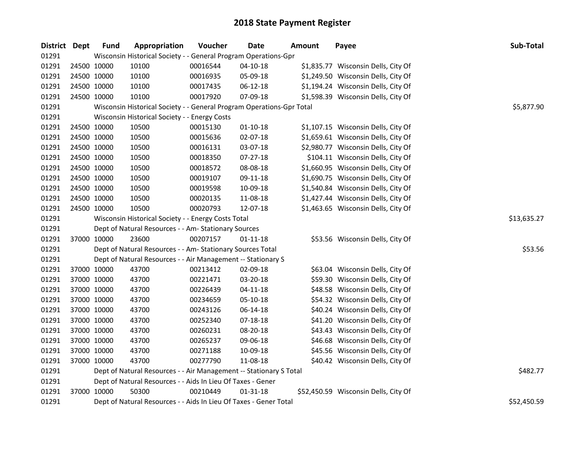| District Dept |             | <b>Fund</b> | Appropriation                                                         | Voucher     | Date           | <b>Amount</b> | Payee                                | Sub-Total   |
|---------------|-------------|-------------|-----------------------------------------------------------------------|-------------|----------------|---------------|--------------------------------------|-------------|
| 01291         |             |             | Wisconsin Historical Society - - General Program Operations-Gpr       |             |                |               |                                      |             |
| 01291         |             | 24500 10000 | 10100                                                                 | 00016544    | $04 - 10 - 18$ |               | \$1,835.77 Wisconsin Dells, City Of  |             |
| 01291         | 24500 10000 |             | 10100                                                                 | 00016935    | 05-09-18       |               | \$1,249.50 Wisconsin Dells, City Of  |             |
| 01291         | 24500 10000 |             | 10100                                                                 | 00017435    | 06-12-18       |               | \$1,194.24 Wisconsin Dells, City Of  |             |
| 01291         |             | 24500 10000 | 10100                                                                 | 00017920    | 07-09-18       |               | \$1,598.39 Wisconsin Dells, City Of  |             |
| 01291         |             |             | Wisconsin Historical Society - - General Program Operations-Gpr Total |             |                |               |                                      | \$5,877.90  |
| 01291         |             |             | Wisconsin Historical Society - - Energy Costs                         |             |                |               |                                      |             |
| 01291         | 24500 10000 |             | 10500                                                                 | 00015130    | $01-10-18$     |               | \$1,107.15 Wisconsin Dells, City Of  |             |
| 01291         | 24500 10000 |             | 10500                                                                 | 00015636    | 02-07-18       |               | \$1,659.61 Wisconsin Dells, City Of  |             |
| 01291         | 24500 10000 |             | 10500                                                                 | 00016131    | 03-07-18       |               | \$2,980.77 Wisconsin Dells, City Of  |             |
| 01291         | 24500 10000 |             | 10500                                                                 | 00018350    | 07-27-18       |               | \$104.11 Wisconsin Dells, City Of    |             |
| 01291         | 24500 10000 |             | 10500                                                                 | 00018572    | 08-08-18       |               | \$1,660.95 Wisconsin Dells, City Of  |             |
| 01291         | 24500 10000 |             | 10500                                                                 | 00019107    | 09-11-18       |               | \$1,690.75 Wisconsin Dells, City Of  |             |
| 01291         | 24500 10000 |             | 10500                                                                 | 00019598    | 10-09-18       |               | \$1,540.84 Wisconsin Dells, City Of  |             |
| 01291         |             | 24500 10000 | 10500                                                                 | 00020135    | 11-08-18       |               | \$1,427.44 Wisconsin Dells, City Of  |             |
| 01291         |             | 24500 10000 | 10500                                                                 | 00020793    | 12-07-18       |               | \$1,463.65 Wisconsin Dells, City Of  |             |
| 01291         |             |             | Wisconsin Historical Society - - Energy Costs Total                   | \$13,635.27 |                |               |                                      |             |
| 01291         |             |             | Dept of Natural Resources - - Am- Stationary Sources                  |             |                |               |                                      |             |
| 01291         |             | 37000 10000 | 23600                                                                 | 00207157    | $01 - 11 - 18$ |               | \$53.56 Wisconsin Dells, City Of     |             |
| 01291         |             |             | Dept of Natural Resources - - Am- Stationary Sources Total            |             |                |               |                                      | \$53.56     |
| 01291         |             |             | Dept of Natural Resources - - Air Management -- Stationary S          |             |                |               |                                      |             |
| 01291         | 37000 10000 |             | 43700                                                                 | 00213412    | 02-09-18       |               | \$63.04 Wisconsin Dells, City Of     |             |
| 01291         | 37000 10000 |             | 43700                                                                 | 00221471    | 03-20-18       |               | \$59.30 Wisconsin Dells, City Of     |             |
| 01291         | 37000 10000 |             | 43700                                                                 | 00226439    | $04 - 11 - 18$ |               | \$48.58 Wisconsin Dells, City Of     |             |
| 01291         |             | 37000 10000 | 43700                                                                 | 00234659    | 05-10-18       |               | \$54.32 Wisconsin Dells, City Of     |             |
| 01291         |             | 37000 10000 | 43700                                                                 | 00243126    | 06-14-18       |               | \$40.24 Wisconsin Dells, City Of     |             |
| 01291         |             | 37000 10000 | 43700                                                                 | 00252340    | 07-18-18       |               | \$41.20 Wisconsin Dells, City Of     |             |
| 01291         |             | 37000 10000 | 43700                                                                 | 00260231    | 08-20-18       |               | \$43.43 Wisconsin Dells, City Of     |             |
| 01291         |             | 37000 10000 | 43700                                                                 | 00265237    | 09-06-18       |               | \$46.68 Wisconsin Dells, City Of     |             |
| 01291         |             | 37000 10000 | 43700                                                                 | 00271188    | 10-09-18       |               | \$45.56 Wisconsin Dells, City Of     |             |
| 01291         |             | 37000 10000 | 43700                                                                 | 00277790    | 11-08-18       |               | \$40.42 Wisconsin Dells, City Of     |             |
| 01291         |             |             | Dept of Natural Resources - - Air Management -- Stationary S Total    |             |                |               |                                      | \$482.77    |
| 01291         |             |             | Dept of Natural Resources - - Aids In Lieu Of Taxes - Gener           |             |                |               |                                      |             |
| 01291         |             | 37000 10000 | 50300                                                                 | 00210449    | $01 - 31 - 18$ |               | \$52,450.59 Wisconsin Dells, City Of |             |
| 01291         |             |             | Dept of Natural Resources - - Aids In Lieu Of Taxes - Gener Total     |             |                |               |                                      | \$52,450.59 |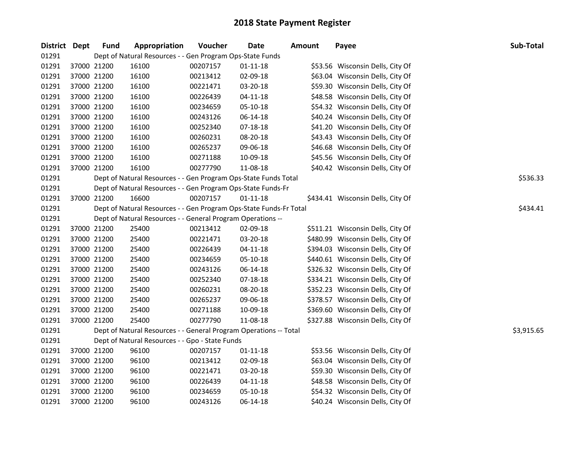| District Dept                                                      |             | <b>Fund</b>                                                        | Appropriation                                                   | Voucher  | <b>Date</b>    | <b>Amount</b> | Payee                             | Sub-Total |  |
|--------------------------------------------------------------------|-------------|--------------------------------------------------------------------|-----------------------------------------------------------------|----------|----------------|---------------|-----------------------------------|-----------|--|
| 01291<br>Dept of Natural Resources - - Gen Program Ops-State Funds |             |                                                                    |                                                                 |          |                |               |                                   |           |  |
| 01291                                                              | 37000 21200 |                                                                    | 16100                                                           | 00207157 | $01 - 11 - 18$ |               | \$53.56 Wisconsin Dells, City Of  |           |  |
| 01291                                                              | 37000 21200 |                                                                    | 16100                                                           | 00213412 | 02-09-18       |               | \$63.04 Wisconsin Dells, City Of  |           |  |
| 01291                                                              | 37000 21200 |                                                                    | 16100                                                           | 00221471 | 03-20-18       |               | \$59.30 Wisconsin Dells, City Of  |           |  |
| 01291                                                              | 37000 21200 |                                                                    | 16100                                                           | 00226439 | $04 - 11 - 18$ |               | \$48.58 Wisconsin Dells, City Of  |           |  |
| 01291                                                              | 37000 21200 |                                                                    | 16100                                                           | 00234659 | 05-10-18       |               | \$54.32 Wisconsin Dells, City Of  |           |  |
| 01291                                                              | 37000 21200 |                                                                    | 16100                                                           | 00243126 | 06-14-18       |               | \$40.24 Wisconsin Dells, City Of  |           |  |
| 01291                                                              | 37000 21200 |                                                                    | 16100                                                           | 00252340 | 07-18-18       |               | \$41.20 Wisconsin Dells, City Of  |           |  |
| 01291                                                              | 37000 21200 |                                                                    | 16100                                                           | 00260231 | 08-20-18       |               | \$43.43 Wisconsin Dells, City Of  |           |  |
| 01291                                                              | 37000 21200 |                                                                    | 16100                                                           | 00265237 | 09-06-18       |               | \$46.68 Wisconsin Dells, City Of  |           |  |
| 01291                                                              | 37000 21200 |                                                                    | 16100                                                           | 00271188 | 10-09-18       |               | \$45.56 Wisconsin Dells, City Of  |           |  |
| 01291                                                              |             | 37000 21200                                                        | 16100                                                           | 00277790 | 11-08-18       |               | \$40.42 Wisconsin Dells, City Of  |           |  |
| 01291                                                              |             |                                                                    | Dept of Natural Resources - - Gen Program Ops-State Funds Total |          |                |               |                                   | \$536.33  |  |
| 01291                                                              |             |                                                                    | Dept of Natural Resources - - Gen Program Ops-State Funds-Fr    |          |                |               |                                   |           |  |
| 01291                                                              | 37000 21200 |                                                                    | 16600                                                           | 00207157 | $01 - 11 - 18$ |               | \$434.41 Wisconsin Dells, City Of |           |  |
| 01291                                                              |             | Dept of Natural Resources - - Gen Program Ops-State Funds-Fr Total | \$434.41                                                        |          |                |               |                                   |           |  |
| 01291                                                              |             |                                                                    | Dept of Natural Resources - - General Program Operations --     |          |                |               |                                   |           |  |
| 01291                                                              | 37000 21200 |                                                                    | 25400                                                           | 00213412 | 02-09-18       |               | \$511.21 Wisconsin Dells, City Of |           |  |
| 01291                                                              | 37000 21200 |                                                                    | 25400                                                           | 00221471 | 03-20-18       |               | \$480.99 Wisconsin Dells, City Of |           |  |
| 01291                                                              | 37000 21200 |                                                                    | 25400                                                           | 00226439 | $04 - 11 - 18$ |               | \$394.03 Wisconsin Dells, City Of |           |  |
| 01291                                                              | 37000 21200 |                                                                    | 25400                                                           | 00234659 | 05-10-18       |               | \$440.61 Wisconsin Dells, City Of |           |  |
| 01291                                                              | 37000 21200 |                                                                    | 25400                                                           | 00243126 | 06-14-18       |               | \$326.32 Wisconsin Dells, City Of |           |  |
| 01291                                                              | 37000 21200 |                                                                    | 25400                                                           | 00252340 | $07 - 18 - 18$ |               | \$334.21 Wisconsin Dells, City Of |           |  |
| 01291                                                              | 37000 21200 |                                                                    | 25400                                                           | 00260231 | 08-20-18       |               | \$352.23 Wisconsin Dells, City Of |           |  |
| 01291                                                              | 37000 21200 |                                                                    | 25400                                                           | 00265237 | 09-06-18       |               | \$378.57 Wisconsin Dells, City Of |           |  |
| 01291                                                              | 37000 21200 |                                                                    | 25400                                                           | 00271188 | 10-09-18       |               | \$369.60 Wisconsin Dells, City Of |           |  |
| 01291                                                              | 37000 21200 |                                                                    | 25400                                                           | 00277790 | 11-08-18       |               | \$327.88 Wisconsin Dells, City Of |           |  |
| 01291                                                              |             | Dept of Natural Resources - - General Program Operations -- Total  | \$3,915.65                                                      |          |                |               |                                   |           |  |
| 01291                                                              |             | Dept of Natural Resources - - Gpo - State Funds                    |                                                                 |          |                |               |                                   |           |  |
| 01291                                                              | 37000 21200 |                                                                    | 96100                                                           | 00207157 | $01 - 11 - 18$ |               | \$53.56 Wisconsin Dells, City Of  |           |  |
| 01291                                                              | 37000 21200 |                                                                    | 96100                                                           | 00213412 | 02-09-18       |               | \$63.04 Wisconsin Dells, City Of  |           |  |
| 01291                                                              | 37000 21200 |                                                                    | 96100                                                           | 00221471 | 03-20-18       |               | \$59.30 Wisconsin Dells, City Of  |           |  |
| 01291                                                              | 37000 21200 |                                                                    | 96100                                                           | 00226439 | $04 - 11 - 18$ |               | \$48.58 Wisconsin Dells, City Of  |           |  |
| 01291                                                              | 37000 21200 |                                                                    | 96100                                                           | 00234659 | 05-10-18       |               | \$54.32 Wisconsin Dells, City Of  |           |  |
| 01291                                                              |             | 37000 21200                                                        | 96100                                                           | 00243126 | 06-14-18       |               | \$40.24 Wisconsin Dells, City Of  |           |  |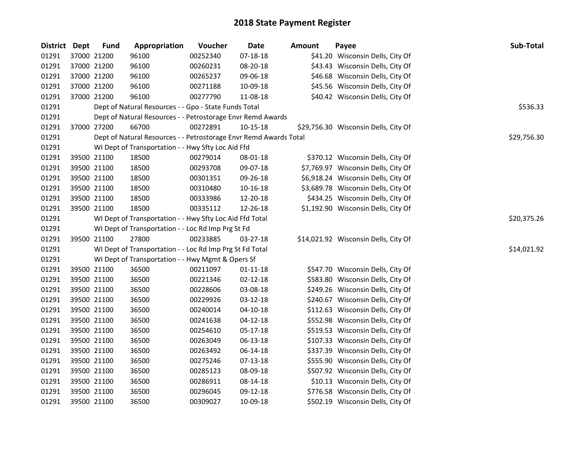| <b>District</b> | Dept | <b>Fund</b>                                              | Appropriation                                                     | Voucher     | Date           | <b>Amount</b> | Payee                                | Sub-Total   |
|-----------------|------|----------------------------------------------------------|-------------------------------------------------------------------|-------------|----------------|---------------|--------------------------------------|-------------|
| 01291           |      | 37000 21200                                              | 96100                                                             | 00252340    | $07 - 18 - 18$ |               | \$41.20 Wisconsin Dells, City Of     |             |
| 01291           |      | 37000 21200                                              | 96100                                                             | 00260231    | 08-20-18       |               | \$43.43 Wisconsin Dells, City Of     |             |
| 01291           |      | 37000 21200                                              | 96100                                                             | 00265237    | 09-06-18       |               | \$46.68 Wisconsin Dells, City Of     |             |
| 01291           |      | 37000 21200                                              | 96100                                                             | 00271188    | 10-09-18       |               | \$45.56 Wisconsin Dells, City Of     |             |
| 01291           |      | 37000 21200                                              | 96100                                                             | 00277790    | 11-08-18       |               | \$40.42 Wisconsin Dells, City Of     |             |
| 01291           |      |                                                          | Dept of Natural Resources - - Gpo - State Funds Total             |             |                |               |                                      | \$536.33    |
| 01291           |      |                                                          | Dept of Natural Resources - - Petrostorage Envr Remd Awards       |             |                |               |                                      |             |
| 01291           |      | 37000 27200                                              | 66700                                                             | 00272891    | 10-15-18       |               | \$29,756.30 Wisconsin Dells, City Of |             |
| 01291           |      |                                                          | Dept of Natural Resources - - Petrostorage Envr Remd Awards Total |             |                |               |                                      | \$29,756.30 |
| 01291           |      |                                                          | WI Dept of Transportation - - Hwy Sfty Loc Aid Ffd                |             |                |               |                                      |             |
| 01291           |      | 39500 21100                                              | 18500                                                             | 00279014    | 08-01-18       |               | \$370.12 Wisconsin Dells, City Of    |             |
| 01291           |      | 39500 21100                                              | 18500                                                             | 00293708    | 09-07-18       |               | \$7,769.97 Wisconsin Dells, City Of  |             |
| 01291           |      | 39500 21100                                              | 18500                                                             | 00301351    | 09-26-18       |               | \$6,918.24 Wisconsin Dells, City Of  |             |
| 01291           |      | 39500 21100                                              | 18500                                                             | 00310480    | 10-16-18       |               | \$3,689.78 Wisconsin Dells, City Of  |             |
| 01291           |      | 39500 21100                                              | 18500                                                             | 00333986    | 12-20-18       |               | \$434.25 Wisconsin Dells, City Of    |             |
| 01291           |      | 39500 21100                                              | 18500                                                             | 00335112    | 12-26-18       |               | \$1,192.90 Wisconsin Dells, City Of  |             |
| 01291           |      | WI Dept of Transportation - - Hwy Sfty Loc Aid Ffd Total |                                                                   | \$20,375.26 |                |               |                                      |             |
| 01291           |      | WI Dept of Transportation - - Loc Rd Imp Prg St Fd       |                                                                   |             |                |               |                                      |             |
| 01291           |      | 39500 21100                                              | 27800                                                             | 00233885    | 03-27-18       |               | \$14,021.92 Wisconsin Dells, City Of |             |
| 01291           |      |                                                          | WI Dept of Transportation - - Loc Rd Imp Prg St Fd Total          |             |                |               |                                      | \$14,021.92 |
| 01291           |      | WI Dept of Transportation - - Hwy Mgmt & Opers Sf        |                                                                   |             |                |               |                                      |             |
| 01291           |      | 39500 21100                                              | 36500                                                             | 00211097    | $01 - 11 - 18$ |               | \$547.70 Wisconsin Dells, City Of    |             |
| 01291           |      | 39500 21100                                              | 36500                                                             | 00221346    | $02 - 12 - 18$ |               | \$583.80 Wisconsin Dells, City Of    |             |
| 01291           |      | 39500 21100                                              | 36500                                                             | 00228606    | 03-08-18       |               | \$249.26 Wisconsin Dells, City Of    |             |
| 01291           |      | 39500 21100                                              | 36500                                                             | 00229926    | 03-12-18       |               | \$240.67 Wisconsin Dells, City Of    |             |
| 01291           |      | 39500 21100                                              | 36500                                                             | 00240014    | $04 - 10 - 18$ |               | \$112.63 Wisconsin Dells, City Of    |             |
| 01291           |      | 39500 21100                                              | 36500                                                             | 00241638    | $04 - 12 - 18$ |               | \$552.98 Wisconsin Dells, City Of    |             |
| 01291           |      | 39500 21100                                              | 36500                                                             | 00254610    | 05-17-18       |               | \$519.53 Wisconsin Dells, City Of    |             |
| 01291           |      | 39500 21100                                              | 36500                                                             | 00263049    | 06-13-18       |               | \$107.33 Wisconsin Dells, City Of    |             |
| 01291           |      | 39500 21100                                              | 36500                                                             | 00263492    | 06-14-18       |               | \$337.39 Wisconsin Dells, City Of    |             |
| 01291           |      | 39500 21100                                              | 36500                                                             | 00275246    | 07-13-18       |               | \$555.90 Wisconsin Dells, City Of    |             |
| 01291           |      | 39500 21100                                              | 36500                                                             | 00285123    | 08-09-18       |               | \$507.92 Wisconsin Dells, City Of    |             |
| 01291           |      | 39500 21100                                              | 36500                                                             | 00286911    | 08-14-18       |               | \$10.13 Wisconsin Dells, City Of     |             |
| 01291           |      | 39500 21100                                              | 36500                                                             | 00296045    | 09-12-18       |               | \$776.58 Wisconsin Dells, City Of    |             |
| 01291           |      | 39500 21100                                              | 36500                                                             | 00309027    | 10-09-18       |               | \$502.19 Wisconsin Dells, City Of    |             |